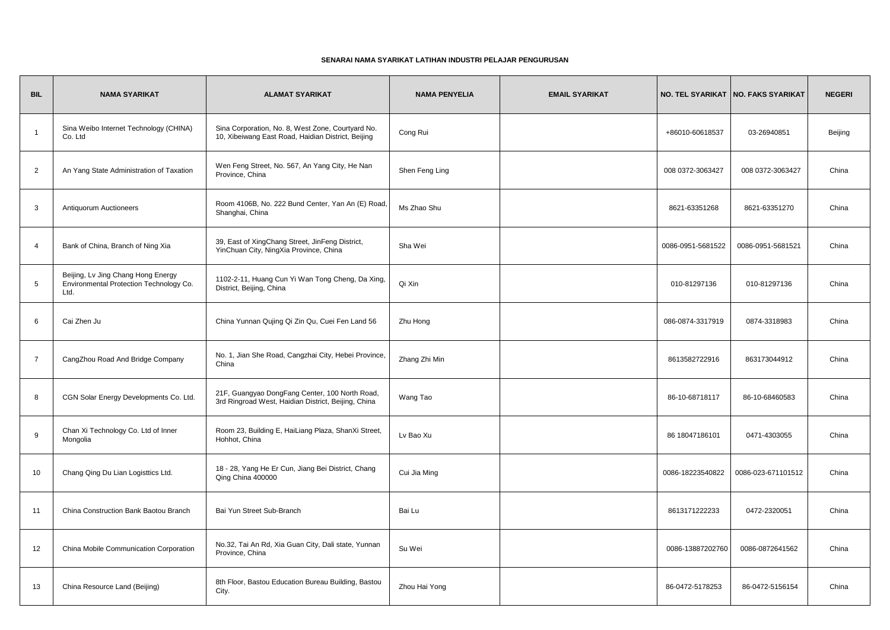## **SENARAI NAMA SYARIKAT LATIHAN INDUSTRI PELAJAR PENGURUSAN**

| <b>BIL</b>      | <b>NAMA SYARIKAT</b>                                                                  | <b>ALAMAT SYARIKAT</b>                                                                                  | <b>NAMA PENYELIA</b> | <b>EMAIL SYARIKAT</b> |                   | NO. TEL SYARIKAT   NO. FAKS SYARIKAT | <b>NEGERI</b> |
|-----------------|---------------------------------------------------------------------------------------|---------------------------------------------------------------------------------------------------------|----------------------|-----------------------|-------------------|--------------------------------------|---------------|
| $\overline{1}$  | Sina Weibo Internet Technology (CHINA)<br>Co. Ltd                                     | Sina Corporation, No. 8, West Zone, Courtyard No.<br>10, Xibeiwang East Road, Haidian District, Beijing | Cong Rui             |                       | +86010-60618537   | 03-26940851                          | Beijing       |
| $\overline{2}$  | An Yang State Administration of Taxation                                              | Wen Feng Street, No. 567, An Yang City, He Nan<br>Province, China                                       | Shen Feng Ling       |                       | 008 0372-3063427  | 008 0372-3063427                     | China         |
| 3               | Antiquorum Auctioneers                                                                | Room 4106B, No. 222 Bund Center, Yan An (E) Road,<br>Shanghai, China                                    | Ms Zhao Shu          |                       | 8621-63351268     | 8621-63351270                        | China         |
| $\overline{4}$  | Bank of China, Branch of Ning Xia                                                     | 39, East of XingChang Street, JinFeng District,<br>YinChuan City, NingXia Province, China               | Sha Wei              |                       | 0086-0951-5681522 | 0086-0951-5681521                    | China         |
| $5\phantom{.0}$ | Beijing, Lv Jing Chang Hong Energy<br>Environmental Protection Technology Co.<br>Ltd. | 1102-2-11, Huang Cun Yi Wan Tong Cheng, Da Xing,<br>District, Beijing, China                            | Qi Xin               |                       | 010-81297136      | 010-81297136                         | China         |
| 6               | Cai Zhen Ju                                                                           | China Yunnan Qujing Qi Zin Qu, Cuei Fen Land 56                                                         | Zhu Hong             |                       | 086-0874-3317919  | 0874-3318983                         | China         |
| $\overline{7}$  | CangZhou Road And Bridge Company                                                      | No. 1, Jian She Road, Cangzhai City, Hebei Province,<br>China                                           | Zhang Zhi Min        |                       | 8613582722916     | 863173044912                         | China         |
| 8               | CGN Solar Energy Developments Co. Ltd.                                                | 21F, Guangyao DongFang Center, 100 North Road,<br>3rd Ringroad West, Haidian District, Beijing, China   | Wang Tao             |                       | 86-10-68718117    | 86-10-68460583                       | China         |
| 9               | Chan Xi Technology Co. Ltd of Inner<br>Mongolia                                       | Room 23, Building E, HaiLiang Plaza, ShanXi Street,<br>Hohhot, China                                    | Ly Bao Xu            |                       | 86 18047186101    | 0471-4303055                         | China         |
| 10              | Chang Qing Du Lian Logisttics Ltd.                                                    | 18 - 28, Yang He Er Cun, Jiang Bei District, Chang<br>Qing China 400000                                 | Cui Jia Ming         |                       | 0086-18223540822  | 0086-023-671101512                   | China         |
| 11              | China Construction Bank Baotou Branch                                                 | Bai Yun Street Sub-Branch                                                                               | Bai Lu               |                       | 8613171222233     | 0472-2320051                         | China         |
| 12              | China Mobile Communication Corporation                                                | No.32, Tai An Rd, Xia Guan City, Dali state, Yunnan<br>Province, China                                  | Su Wei               |                       | 0086-13887202760  | 0086-0872641562                      | China         |
| 13              | China Resource Land (Beijing)                                                         | 8th Floor, Bastou Education Bureau Building, Bastou<br>City.                                            | Zhou Hai Yong        |                       | 86-0472-5178253   | 86-0472-5156154                      | China         |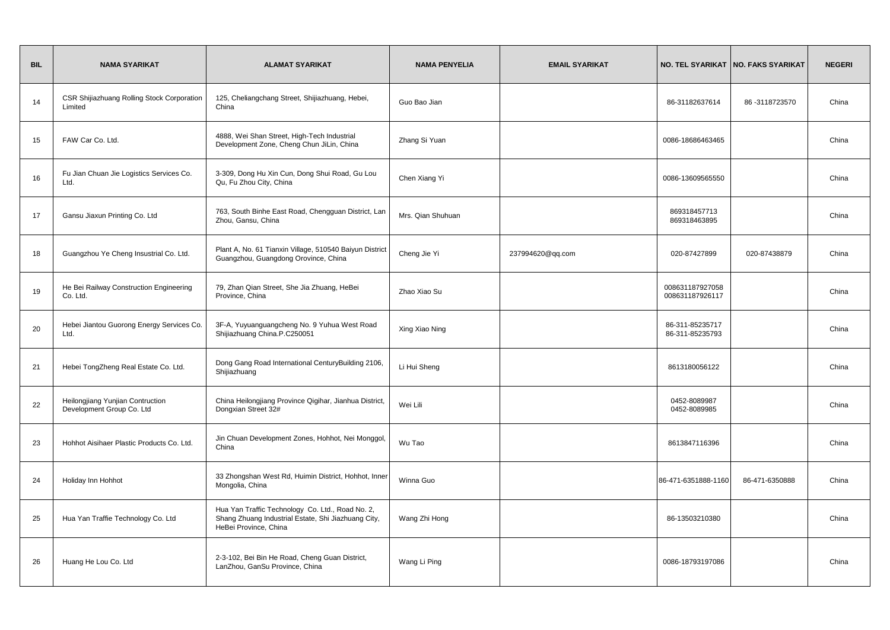| <b>BIL</b> | <b>NAMA SYARIKAT</b>                                          | <b>ALAMAT SYARIKAT</b>                                                                                                           | <b>NAMA PENYELIA</b> | <b>EMAIL SYARIKAT</b> |                                    | NO. TEL SYARIKAT   NO. FAKS SYARIKAT | <b>NEGERI</b> |
|------------|---------------------------------------------------------------|----------------------------------------------------------------------------------------------------------------------------------|----------------------|-----------------------|------------------------------------|--------------------------------------|---------------|
| 14         | CSR Shijiazhuang Rolling Stock Corporation<br>Limited         | 125, Cheliangchang Street, Shijiazhuang, Hebei,<br>China                                                                         | Guo Bao Jian         |                       | 86-31182637614                     | 86-3118723570                        | China         |
| 15         | FAW Car Co. Ltd.                                              | 4888, Wei Shan Street, High-Tech Industrial<br>Development Zone, Cheng Chun JiLin, China                                         | Zhang Si Yuan        |                       | 0086-18686463465                   |                                      | China         |
| 16         | Fu Jian Chuan Jie Logistics Services Co.<br>Ltd.              | 3-309, Dong Hu Xin Cun, Dong Shui Road, Gu Lou<br>Qu, Fu Zhou City, China                                                        | Chen Xiang Yi        |                       | 0086-13609565550                   |                                      | China         |
| 17         | Gansu Jiaxun Printing Co. Ltd                                 | 763, South Binhe East Road, Chengguan District, Lan<br>Zhou, Gansu, China                                                        | Mrs. Qian Shuhuan    |                       | 869318457713<br>869318463895       |                                      | China         |
| 18         | Guangzhou Ye Cheng Insustrial Co. Ltd.                        | Plant A, No. 61 Tianxin Village, 510540 Baiyun District<br>Guangzhou, Guangdong Orovince, China                                  | Cheng Jie Yi         | 237994620@qq.com      | 020-87427899                       | 020-87438879                         | China         |
| 19         | He Bei Railway Construction Engineering<br>Co. Ltd.           | 79, Zhan Qian Street, She Jia Zhuang, HeBei<br>Province, China                                                                   | Zhao Xiao Su         |                       | 008631187927058<br>008631187926117 |                                      | China         |
| 20         | Hebei Jiantou Guorong Energy Services Co.<br>Ltd.             | 3F-A, Yuyuanguangcheng No. 9 Yuhua West Road<br>Shijiazhuang China.P.C250051                                                     | Xing Xiao Ning       |                       | 86-311-85235717<br>86-311-85235793 |                                      | China         |
| 21         | Hebei TongZheng Real Estate Co. Ltd.                          | Dong Gang Road International CenturyBuilding 2106,<br>Shijiazhuang                                                               | Li Hui Sheng         |                       | 8613180056122                      |                                      | China         |
| 22         | Heilongjiang Yunjian Contruction<br>Development Group Co. Ltd | China Heilongjiang Province Qigihar, Jianhua District,<br>Dongxian Street 32#                                                    | Wei Lili             |                       | 0452-8089987<br>0452-8089985       |                                      | China         |
| 23         | Hohhot Aisihaer Plastic Products Co. Ltd.                     | Jin Chuan Development Zones, Hohhot, Nei Monggol,<br>China                                                                       | Wu Tao               |                       | 8613847116396                      |                                      | China         |
| 24         | Holiday Inn Hohhot                                            | 33 Zhongshan West Rd, Huimin District, Hohhot, Inner<br>Mongolia, China                                                          | Winna Guo            |                       | 86-471-6351888-1160                | 86-471-6350888                       | China         |
| 25         | Hua Yan Traffie Technology Co. Ltd                            | Hua Yan Traffic Technology Co. Ltd., Road No. 2,<br>Shang Zhuang Industrial Estate, Shi Jiazhuang City,<br>HeBei Province, China | Wang Zhi Hong        |                       | 86-13503210380                     |                                      | China         |
| 26         | Huang He Lou Co. Ltd                                          | 2-3-102, Bei Bin He Road, Cheng Guan District,<br>LanZhou, GanSu Province, China                                                 | Wang Li Ping         |                       | 0086-18793197086                   |                                      | China         |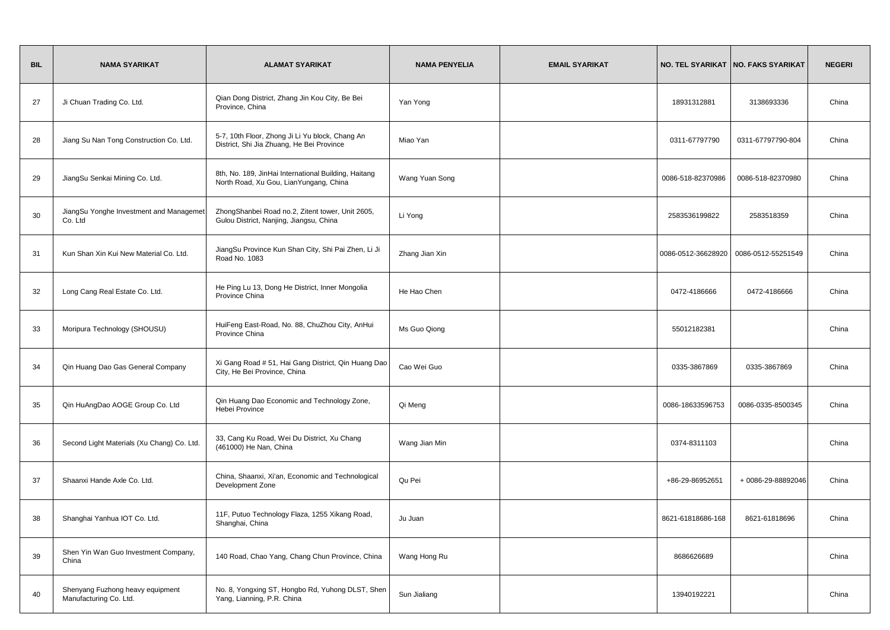| <b>BIL</b> | <b>NAMA SYARIKAT</b>                                       | <b>ALAMAT SYARIKAT</b>                                                                         | <b>NAMA PENYELIA</b> | <b>EMAIL SYARIKAT</b> |                    | NO. TEL SYARIKAT   NO. FAKS SYARIKAT | <b>NEGERI</b> |
|------------|------------------------------------------------------------|------------------------------------------------------------------------------------------------|----------------------|-----------------------|--------------------|--------------------------------------|---------------|
| 27         | Ji Chuan Trading Co. Ltd.                                  | Qian Dong District, Zhang Jin Kou City, Be Bei<br>Province, China                              | Yan Yong             |                       | 18931312881        | 3138693336                           | China         |
| 28         | Jiang Su Nan Tong Construction Co. Ltd.                    | 5-7, 10th Floor, Zhong Ji Li Yu block, Chang An<br>District, Shi Jia Zhuang, He Bei Province   | Miao Yan             |                       | 0311-67797790      | 0311-67797790-804                    | China         |
| 29         | JiangSu Senkai Mining Co. Ltd.                             | 8th, No. 189, JinHai International Building, Haitang<br>North Road, Xu Gou, LianYungang, China | Wang Yuan Song       |                       | 0086-518-82370986  | 0086-518-82370980                    | China         |
| 30         | JiangSu Yonghe Investment and Managemer<br>Co. Ltd         | ZhongShanbei Road no.2, Zitent tower, Unit 2605,<br>Gulou District, Nanjing, Jiangsu, China    | Li Yong              |                       | 2583536199822      | 2583518359                           | China         |
| 31         | Kun Shan Xin Kui New Material Co. Ltd.                     | JiangSu Province Kun Shan City, Shi Pai Zhen, Li Ji<br>Road No. 1083                           | Zhang Jian Xin       |                       | 0086-0512-36628920 | 0086-0512-55251549                   | China         |
| 32         | Long Cang Real Estate Co. Ltd.                             | He Ping Lu 13, Dong He District, Inner Mongolia<br>Province China                              | He Hao Chen          |                       | 0472-4186666       | 0472-4186666                         | China         |
| 33         | Moripura Technology (SHOUSU)                               | HuiFeng East-Road, No. 88, ChuZhou City, AnHui<br>Province China                               | Ms Guo Qiong         |                       | 55012182381        |                                      | China         |
| 34         | Qin Huang Dao Gas General Company                          | Xi Gang Road # 51, Hai Gang District, Qin Huang Dao<br>City, He Bei Province, China            | Cao Wei Guo          |                       | 0335-3867869       | 0335-3867869                         | China         |
| 35         | Qin HuAngDao AOGE Group Co. Ltd                            | Qin Huang Dao Economic and Technology Zone,<br>Hebei Province                                  | Qi Meng              |                       | 0086-18633596753   | 0086-0335-8500345                    | China         |
| 36         | Second Light Materials (Xu Chang) Co. Ltd.                 | 33, Cang Ku Road, Wei Du District, Xu Chang<br>(461000) He Nan, China                          | Wang Jian Min        |                       | 0374-8311103       |                                      | China         |
| 37         | Shaanxi Hande Axle Co. Ltd.                                | China, Shaanxi, Xi'an, Economic and Technological<br>Development Zone                          | Qu Pei               |                       | +86-29-86952651    | + 0086-29-88892046                   | China         |
| 38         | Shanghai Yanhua IOT Co. Ltd.                               | 11F, Putuo Technology Flaza, 1255 Xikang Road,<br>Shanghai, China                              | Ju Juan              |                       | 8621-61818686-168  | 8621-61818696                        | China         |
| 39         | Shen Yin Wan Guo Investment Company,<br>China              | 140 Road, Chao Yang, Chang Chun Province, China                                                | Wang Hong Ru         |                       | 8686626689         |                                      | China         |
| 40         | Shenyang Fuzhong heavy equipment<br>Manufacturing Co. Ltd. | No. 8, Yongxing ST, Hongbo Rd, Yuhong DLST, Shen<br>Yang, Lianning, P.R. China                 | Sun Jialiang         |                       | 13940192221        |                                      | China         |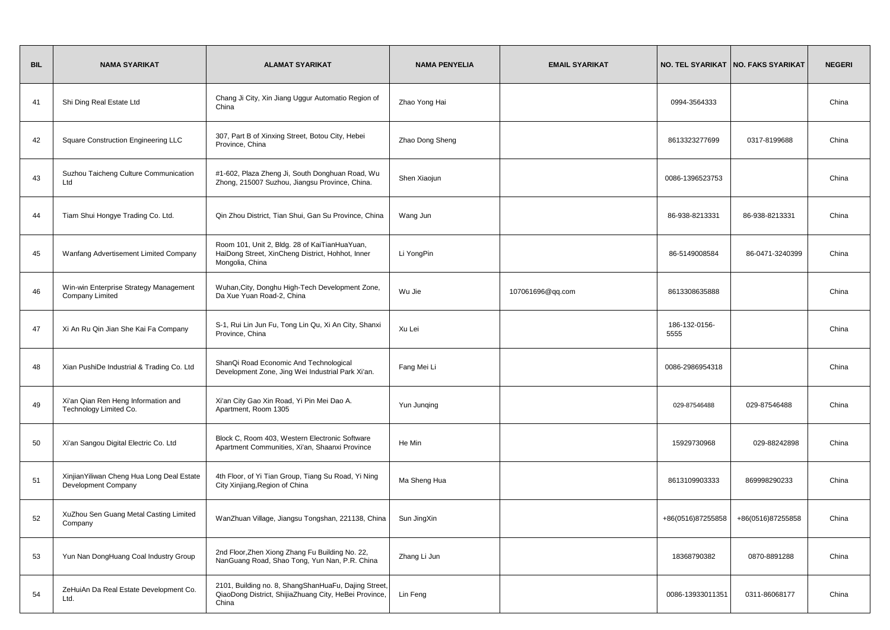| <b>BIL</b> | <b>NAMA SYARIKAT</b>                                             | <b>ALAMAT SYARIKAT</b>                                                                                                 | <b>NAMA PENYELIA</b> | <b>EMAIL SYARIKAT</b> |                       | NO. TEL SYARIKAT   NO. FAKS SYARIKAT | <b>NEGERI</b> |
|------------|------------------------------------------------------------------|------------------------------------------------------------------------------------------------------------------------|----------------------|-----------------------|-----------------------|--------------------------------------|---------------|
| 41         | Shi Ding Real Estate Ltd                                         | Chang Ji City, Xin Jiang Uggur Automatio Region of<br>China                                                            | Zhao Yong Hai        |                       | 0994-3564333          |                                      | China         |
| 42         | <b>Square Construction Engineering LLC</b>                       | 307, Part B of Xinxing Street, Botou City, Hebei<br>Province, China                                                    | Zhao Dong Sheng      |                       | 8613323277699         | 0317-8199688                         | China         |
| 43         | Suzhou Taicheng Culture Communication<br>Ltd                     | #1-602, Plaza Zheng Ji, South Donghuan Road, Wu<br>Zhong, 215007 Suzhou, Jiangsu Province, China.                      | Shen Xiaojun         |                       | 0086-1396523753       |                                      | China         |
| 44         | Tiam Shui Hongye Trading Co. Ltd.                                | Qin Zhou District, Tian Shui, Gan Su Province, China                                                                   | Wang Jun             |                       | 86-938-8213331        | 86-938-8213331                       | China         |
| 45         | Wanfang Advertisement Limited Company                            | Room 101, Unit 2, Bldg. 28 of KaiTianHuaYuan,<br>HaiDong Street, XinCheng District, Hohhot, Inner<br>Mongolia, China   | Li YongPin           |                       | 86-5149008584         | 86-0471-3240399                      | China         |
| 46         | Win-win Enterprise Strategy Management<br>Company Limited        | Wuhan, City, Donghu High-Tech Development Zone,<br>Da Xue Yuan Road-2, China                                           | Wu Jie               | 107061696@qq.com      | 8613308635888         |                                      | China         |
| 47         | Xi An Ru Qin Jian She Kai Fa Company                             | S-1, Rui Lin Jun Fu, Tong Lin Qu, Xi An City, Shanxi<br>Province, China                                                | Xu Lei               |                       | 186-132-0156-<br>5555 |                                      | China         |
| 48         | Xian PushiDe Industrial & Trading Co. Ltd                        | ShanQi Road Economic And Technological<br>Development Zone, Jing Wei Industrial Park Xi'an.                            | Fang Mei Li          |                       | 0086-2986954318       |                                      | China         |
| 49         | Xi'an Qian Ren Heng Information and<br>Technology Limited Co.    | Xi'an City Gao Xin Road, Yi Pin Mei Dao A.<br>Apartment, Room 1305                                                     | Yun Junqing          |                       | 029-87546488          | 029-87546488                         | China         |
| 50         | Xi'an Sangou Digital Electric Co. Ltd                            | Block C, Room 403, Western Electronic Software<br>Apartment Communities, Xi'an, Shaanxi Province                       | He Min               |                       | 15929730968           | 029-88242898                         | China         |
| 51         | XinjianYiliwan Cheng Hua Long Deal Estate<br>Development Company | 4th Floor, of Yi Tian Group, Tiang Su Road, Yi Ning<br>City Xinjiang, Region of China                                  | Ma Sheng Hua         |                       | 8613109903333         | 869998290233                         | China         |
| 52         | XuZhou Sen Guang Metal Casting Limited<br>Company                | WanZhuan Village, Jiangsu Tongshan, 221138, China   Sun JingXin                                                        |                      |                       | +86(0516)87255858     | +86(0516)87255858                    | China         |
| 53         | Yun Nan DongHuang Coal Industry Group                            | 2nd Floor, Zhen Xiong Zhang Fu Building No. 22,<br>NanGuang Road, Shao Tong, Yun Nan, P.R. China                       | Zhang Li Jun         |                       | 18368790382           | 0870-8891288                         | China         |
| 54         | ZeHuiAn Da Real Estate Development Co.<br>Ltd.                   | 2101, Building no. 8, ShangShanHuaFu, Dajing Street,<br>QiaoDong District, ShijiaZhuang City, HeBei Province,<br>China | Lin Feng             |                       | 0086-13933011351      | 0311-86068177                        | China         |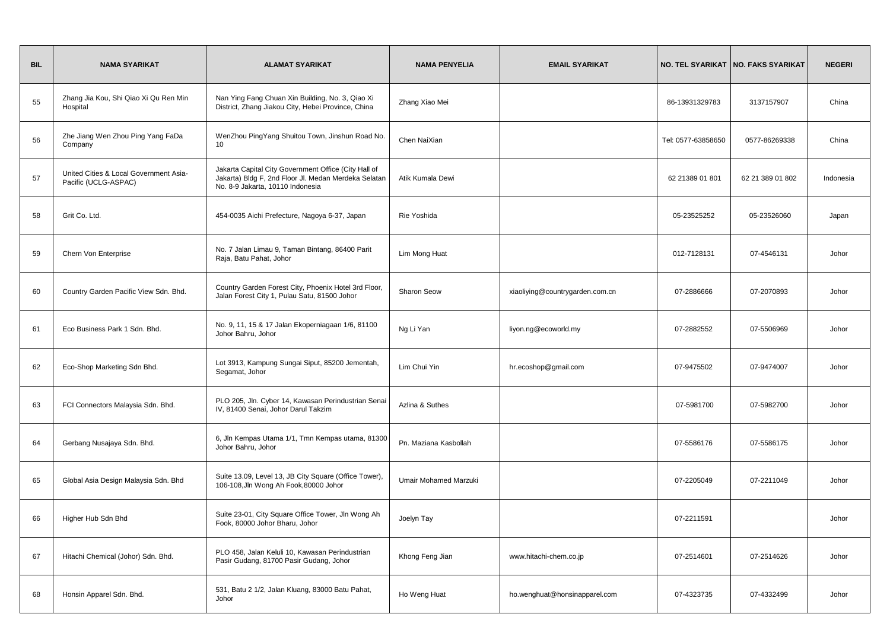| <b>BIL</b> | <b>NAMA SYARIKAT</b>                                           | <b>ALAMAT SYARIKAT</b>                                                                                                                           | <b>NAMA PENYELIA</b>         | <b>EMAIL SYARIKAT</b>           |                    | NO. TEL SYARIKAT   NO. FAKS SYARIKAT | <b>NEGERI</b> |
|------------|----------------------------------------------------------------|--------------------------------------------------------------------------------------------------------------------------------------------------|------------------------------|---------------------------------|--------------------|--------------------------------------|---------------|
| 55         | Zhang Jia Kou, Shi Qiao Xi Qu Ren Min<br>Hospital              | Nan Ying Fang Chuan Xin Building, No. 3, Qiao Xi<br>District, Zhang Jiakou City, Hebei Province, China                                           | Zhang Xiao Mei               |                                 | 86-13931329783     | 3137157907                           | China         |
| 56         | Zhe Jiang Wen Zhou Ping Yang FaDa<br>Company                   | WenZhou PingYang Shuitou Town, Jinshun Road No.<br>10                                                                                            | Chen NaiXian                 |                                 | Tel: 0577-63858650 | 0577-86269338                        | China         |
| 57         | United Cities & Local Government Asia-<br>Pacific (UCLG-ASPAC) | Jakarta Capital City Government Office (City Hall of<br>Jakarta) Bldg F, 2nd Floor Jl. Medan Merdeka Selatan<br>No. 8-9 Jakarta, 10110 Indonesia | Atik Kumala Dewi             |                                 | 62 21389 01 801    | 62 21 389 01 802                     | Indonesia     |
| 58         | Grit Co. Ltd.                                                  | 454-0035 Aichi Prefecture, Nagoya 6-37, Japan                                                                                                    | Rie Yoshida                  |                                 | 05-23525252        | 05-23526060                          | Japan         |
| 59         | Chern Von Enterprise                                           | No. 7 Jalan Limau 9, Taman Bintang, 86400 Parit<br>Raja, Batu Pahat, Johor                                                                       | Lim Mong Huat                |                                 | 012-7128131        | 07-4546131                           | Johor         |
| 60         | Country Garden Pacific View Sdn. Bhd.                          | Country Garden Forest City, Phoenix Hotel 3rd Floor,<br>Jalan Forest City 1, Pulau Satu, 81500 Johor                                             | <b>Sharon Seow</b>           | xiaoliying@countrygarden.com.cn | 07-2886666         | 07-2070893                           | Johor         |
| 61         | Eco Business Park 1 Sdn. Bhd.                                  | No. 9, 11, 15 & 17 Jalan Ekoperniagaan 1/6, 81100<br>Johor Bahru, Johor                                                                          | Ng Li Yan                    | liyon.ng@ecoworld.my            | 07-2882552         | 07-5506969                           | Johor         |
| 62         | Eco-Shop Marketing Sdn Bhd.                                    | Lot 3913, Kampung Sungai Siput, 85200 Jementah,<br>Segamat, Johor                                                                                | Lim Chui Yin                 | hr.ecoshop@gmail.com            | 07-9475502         | 07-9474007                           | Johor         |
| 63         | FCI Connectors Malaysia Sdn. Bhd.                              | PLO 205, Jln. Cyber 14, Kawasan Perindustrian Senai<br>IV, 81400 Senai, Johor Darul Takzim                                                       | Azlina & Suthes              |                                 | 07-5981700         | 07-5982700                           | Johor         |
| 64         | Gerbang Nusajaya Sdn. Bhd.                                     | 6, Jln Kempas Utama 1/1, Tmn Kempas utama, 81300<br>Johor Bahru, Johor                                                                           | Pn. Maziana Kasbollah        |                                 | 07-5586176         | 07-5586175                           | Johor         |
| 65         | Global Asia Design Malaysia Sdn. Bhd                           | Suite 13.09, Level 13, JB City Square (Office Tower),<br>106-108, Jln Wong Ah Fook, 80000 Johor                                                  | <b>Umair Mohamed Marzuki</b> |                                 | 07-2205049         | 07-2211049                           | Johor         |
| 66         | Higher Hub Sdn Bhd                                             | Suite 23-01, City Square Office Tower, Jln Wong Ah<br>Fook, 80000 Johor Bharu, Johor                                                             | Joelyn Tay                   |                                 | 07-2211591         |                                      | Johor         |
| 67         | Hitachi Chemical (Johor) Sdn. Bhd.                             | PLO 458, Jalan Keluli 10, Kawasan Perindustrian<br>Pasir Gudang, 81700 Pasir Gudang, Johor                                                       | Khong Feng Jian              | www.hitachi-chem.co.jp          | 07-2514601         | 07-2514626                           | Johor         |
| 68         | Honsin Apparel Sdn. Bhd.                                       | 531, Batu 2 1/2, Jalan Kluang, 83000 Batu Pahat,<br>Johor                                                                                        | Ho Weng Huat                 | ho.wenghuat@honsinapparel.com   | 07-4323735         | 07-4332499                           | Johor         |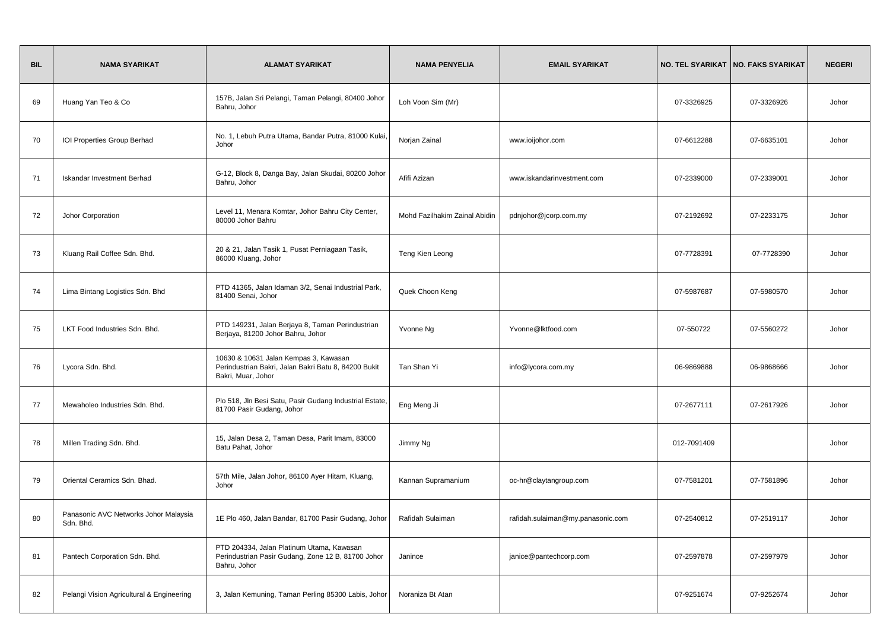| <b>BIL</b> | <b>NAMA SYARIKAT</b>                               | <b>ALAMAT SYARIKAT</b>                                                                                              | <b>NAMA PENYELIA</b>          | <b>EMAIL SYARIKAT</b>             |             | NO. TEL SYARIKAT   NO. FAKS SYARIKAT | <b>NEGERI</b> |
|------------|----------------------------------------------------|---------------------------------------------------------------------------------------------------------------------|-------------------------------|-----------------------------------|-------------|--------------------------------------|---------------|
| 69         | Huang Yan Teo & Co                                 | 157B, Jalan Sri Pelangi, Taman Pelangi, 80400 Johor<br>Bahru, Johor                                                 | Loh Voon Sim (Mr)             |                                   | 07-3326925  | 07-3326926                           | Johor         |
| 70         | IOI Properties Group Berhad                        | No. 1, Lebuh Putra Utama, Bandar Putra, 81000 Kulai,<br>Johor                                                       | Norjan Zainal                 | www.ioijohor.com                  | 07-6612288  | 07-6635101                           | Johor         |
| 71         | Iskandar Investment Berhad                         | G-12, Block 8, Danga Bay, Jalan Skudai, 80200 Johor<br>Bahru, Johor                                                 | Afifi Azizan                  | www.iskandarinvestment.com        | 07-2339000  | 07-2339001                           | Johor         |
| 72         | Johor Corporation                                  | Level 11, Menara Komtar, Johor Bahru City Center,<br>80000 Johor Bahru                                              | Mohd Fazilhakim Zainal Abidin | pdnjohor@jcorp.com.my             | 07-2192692  | 07-2233175                           | Johor         |
| 73         | Kluang Rail Coffee Sdn. Bhd.                       | 20 & 21, Jalan Tasik 1, Pusat Perniagaan Tasik,<br>86000 Kluang, Johor                                              | Teng Kien Leong               |                                   | 07-7728391  | 07-7728390                           | Johor         |
| 74         | Lima Bintang Logistics Sdn. Bhd                    | PTD 41365, Jalan Idaman 3/2, Senai Industrial Park,<br>81400 Senai, Johor                                           | Quek Choon Keng               |                                   | 07-5987687  | 07-5980570                           | Johor         |
| 75         | LKT Food Industries Sdn. Bhd.                      | PTD 149231, Jalan Berjaya 8, Taman Perindustrian<br>Berjaya, 81200 Johor Bahru, Johor                               | Yvonne Ng                     | Yvonne@lktfood.com                | 07-550722   | 07-5560272                           | Johor         |
| 76         | Lycora Sdn. Bhd.                                   | 10630 & 10631 Jalan Kempas 3, Kawasan<br>Perindustrian Bakri, Jalan Bakri Batu 8, 84200 Bukit<br>Bakri, Muar, Johor | Tan Shan Yi                   | info@lycora.com.my                | 06-9869888  | 06-9868666                           | Johor         |
| 77         | Mewaholeo Industries Sdn. Bhd.                     | Plo 518, Jln Besi Satu, Pasir Gudang Industrial Estate,<br>81700 Pasir Gudang, Johor                                | Eng Meng Ji                   |                                   | 07-2677111  | 07-2617926                           | Johor         |
| 78         | Millen Trading Sdn. Bhd.                           | 15, Jalan Desa 2, Taman Desa, Parit Imam, 83000<br>Batu Pahat, Johor                                                | Jimmy Ng                      |                                   | 012-7091409 |                                      | Johor         |
| 79         | Oriental Ceramics Sdn. Bhad.                       | 57th Mile, Jalan Johor, 86100 Ayer Hitam, Kluang,<br>Johor                                                          | Kannan Supramanium            | oc-hr@claytangroup.com            | 07-7581201  | 07-7581896                           | Johor         |
| 80         | Panasonic AVC Networks Johor Malaysia<br>Sdn. Bhd. | 1E Plo 460, Jalan Bandar, 81700 Pasir Gudang, Johor                                                                 | Rafidah Sulaiman              | rafidah.sulaiman@my.panasonic.com | 07-2540812  | 07-2519117                           | Johor         |
| 81         | Pantech Corporation Sdn. Bhd.                      | PTD 204334, Jalan Platinum Utama, Kawasan<br>Perindustrian Pasir Gudang, Zone 12 B, 81700 Johor<br>Bahru, Johor     | Janince                       | janice@pantechcorp.com            | 07-2597878  | 07-2597979                           | Johor         |
| 82         | Pelangi Vision Agricultural & Engineering          | 3, Jalan Kemuning, Taman Perling 85300 Labis, Johor                                                                 | Noraniza Bt Atan              |                                   | 07-9251674  | 07-9252674                           | Johor         |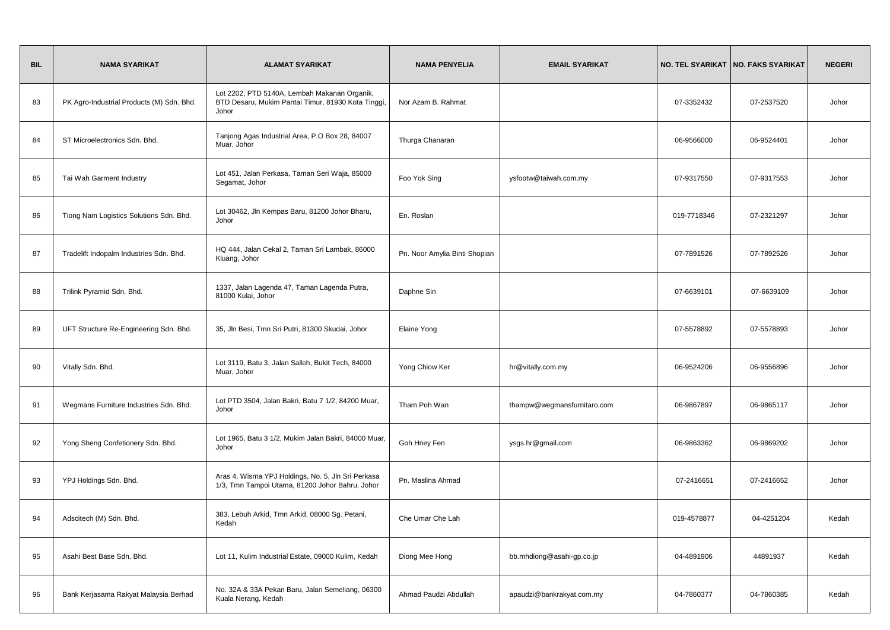| <b>BIL</b> | <b>NAMA SYARIKAT</b>                      | <b>ALAMAT SYARIKAT</b>                                                                                      | <b>NAMA PENYELIA</b>          | <b>EMAIL SYARIKAT</b>       |             | NO. TEL SYARIKAT   NO. FAKS SYARIKAT | <b>NEGERI</b> |
|------------|-------------------------------------------|-------------------------------------------------------------------------------------------------------------|-------------------------------|-----------------------------|-------------|--------------------------------------|---------------|
| 83         | PK Agro-Industrial Products (M) Sdn. Bhd. | Lot 2202, PTD 5140A, Lembah Makanan Organik,<br>BTD Desaru, Mukim Pantai Timur, 81930 Kota Tinggi,<br>Johor | Nor Azam B. Rahmat            |                             | 07-3352432  | 07-2537520                           | Johor         |
| 84         | ST Microelectronics Sdn. Bhd.             | Tanjong Agas Industrial Area, P.O Box 28, 84007<br>Muar, Johor                                              | Thurga Chanaran               |                             | 06-9566000  | 06-9524401                           | Johor         |
| 85         | Tai Wah Garment Industry                  | Lot 451, Jalan Perkasa, Taman Seri Waja, 85000<br>Segamat, Johor                                            | Foo Yok Sing                  | ysfootw@taiwah.com.my       | 07-9317550  | 07-9317553                           | Johor         |
| 86         | Tiong Nam Logistics Solutions Sdn. Bhd.   | Lot 30462, Jln Kempas Baru, 81200 Johor Bharu,<br>Johor                                                     | En. Roslan                    |                             | 019-7718346 | 07-2321297                           | Johor         |
| 87         | Tradelift Indopalm Industries Sdn. Bhd.   | HQ 444, Jalan Cekal 2, Taman Sri Lambak, 86000<br>Kluang, Johor                                             | Pn. Noor Amylia Binti Shopian |                             | 07-7891526  | 07-7892526                           | Johor         |
| 88         | Trilink Pyramid Sdn. Bhd.                 | 1337, Jalan Lagenda 47, Taman Lagenda Putra,<br>81000 Kulai, Johor                                          | Daphne Sin                    |                             | 07-6639101  | 07-6639109                           | Johor         |
| 89         | UFT Structure Re-Engineering Sdn. Bhd.    | 35, Jln Besi, Tmn Sri Putri, 81300 Skudai, Johor                                                            | Elaine Yong                   |                             | 07-5578892  | 07-5578893                           | Johor         |
| 90         | Vitally Sdn. Bhd.                         | Lot 3119, Batu 3, Jalan Salleh, Bukit Tech, 84000<br>Muar, Johor                                            | Yong Chiow Ker                | hr@vitally.com.my           | 06-9524206  | 06-9556896                           | Johor         |
| 91         | Wegmans Furniture Industries Sdn. Bhd.    | Lot PTD 3504, Jalan Bakri, Batu 7 1/2, 84200 Muar,<br>Johor                                                 | Tham Poh Wan                  | thampw@wegmansfurnitaro.com | 06-9867897  | 06-9865117                           | Johor         |
| 92         | Yong Sheng Confetionery Sdn. Bhd.         | Lot 1965, Batu 3 1/2, Mukim Jalan Bakri, 84000 Muar,<br>Johor                                               | Goh Hney Fen                  | ysgs.hr@gmail.com           | 06-9863362  | 06-9869202                           | Johor         |
| 93         | YPJ Holdings Sdn. Bhd.                    | Aras 4, Wisma YPJ Holdings, No. 5, Jln Sri Perkasa<br>1/3, Tmn Tampoi Utama, 81200 Johor Bahru, Johor       | Pn. Maslina Ahmad             |                             | 07-2416651  | 07-2416652                           | Johor         |
| 94         | Adscitech (M) Sdn. Bhd.                   | 383, Lebuh Arkid, Tmn Arkid, 08000 Sg. Petani,<br>Kedah                                                     | Che Umar Che Lah              |                             | 019-4578877 | 04-4251204                           | Kedah         |
| 95         | Asahi Best Base Sdn. Bhd.                 | Lot 11, Kulim Industrial Estate, 09000 Kulim, Kedah                                                         | Diong Mee Hong                | bb.mhdiong@asahi-gp.co.jp   | 04-4891906  | 44891937                             | Kedah         |
| 96         | Bank Kerjasama Rakyat Malaysia Berhad     | No. 32A & 33A Pekan Baru, Jalan Semeliang, 06300<br>Kuala Nerang, Kedah                                     | Ahmad Paudzi Abdullah         | apaudzi@bankrakyat.com.my   | 04-7860377  | 04-7860385                           | Kedah         |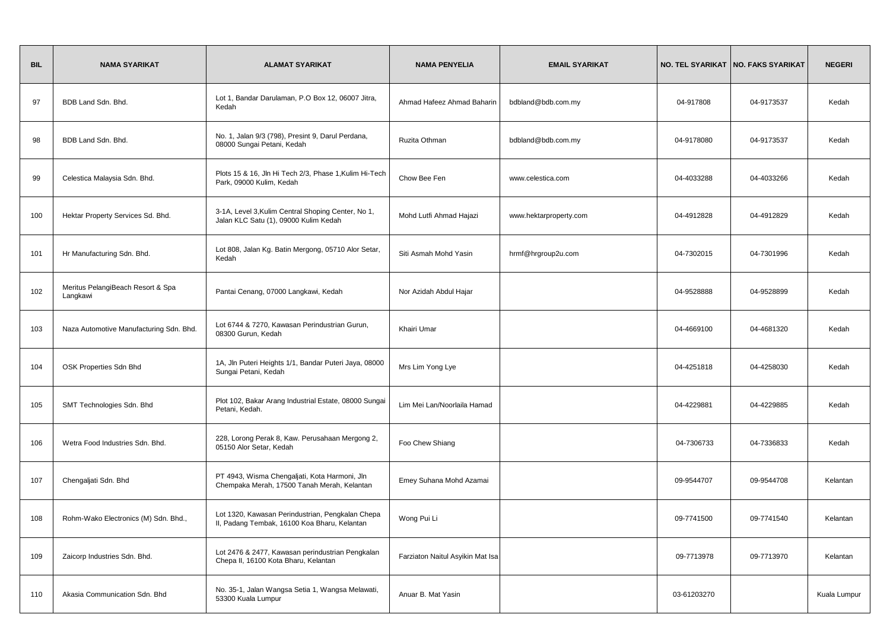| <b>BIL</b> | <b>NAMA SYARIKAT</b>                          | <b>ALAMAT SYARIKAT</b>                                                                           | <b>NAMA PENYELIA</b>             | <b>EMAIL SYARIKAT</b>  |             | NO. TEL SYARIKAT   NO. FAKS SYARIKAT | <b>NEGERI</b> |
|------------|-----------------------------------------------|--------------------------------------------------------------------------------------------------|----------------------------------|------------------------|-------------|--------------------------------------|---------------|
| 97         | BDB Land Sdn. Bhd.                            | Lot 1, Bandar Darulaman, P.O Box 12, 06007 Jitra,<br>Kedah                                       | Ahmad Hafeez Ahmad Baharin       | bdbland@bdb.com.my     | 04-917808   | 04-9173537                           | Kedah         |
| 98         | BDB Land Sdn. Bhd.                            | No. 1, Jalan 9/3 (798), Presint 9, Darul Perdana,<br>08000 Sungai Petani, Kedah                  | Ruzita Othman                    | bdbland@bdb.com.my     | 04-9178080  | 04-9173537                           | Kedah         |
| 99         | Celestica Malaysia Sdn. Bhd.                  | Plots 15 & 16, Jln Hi Tech 2/3, Phase 1, Kulim Hi-Tech<br>Park, 09000 Kulim, Kedah               | Chow Bee Fen                     | www.celestica.com      | 04-4033288  | 04-4033266                           | Kedah         |
| 100        | Hektar Property Services Sd. Bhd.             | 3-1A, Level 3, Kulim Central Shoping Center, No 1,<br>Jalan KLC Satu (1), 09000 Kulim Kedah      | Mohd Lutfi Ahmad Hajazi          | www.hektarproperty.com | 04-4912828  | 04-4912829                           | Kedah         |
| 101        | Hr Manufacturing Sdn. Bhd.                    | Lot 808, Jalan Kg. Batin Mergong, 05710 Alor Setar,<br>Kedah                                     | Siti Asmah Mohd Yasin            | hrmf@hrgroup2u.com     | 04-7302015  | 04-7301996                           | Kedah         |
| 102        | Meritus PelangiBeach Resort & Spa<br>Langkawi | Pantai Cenang, 07000 Langkawi, Kedah                                                             | Nor Azidah Abdul Hajar           |                        | 04-9528888  | 04-9528899                           | Kedah         |
| 103        | Naza Automotive Manufacturing Sdn. Bhd.       | Lot 6744 & 7270, Kawasan Perindustrian Gurun,<br>08300 Gurun, Kedah                              | Khairi Umar                      |                        | 04-4669100  | 04-4681320                           | Kedah         |
| 104        | OSK Properties Sdn Bhd                        | 1A, Jln Puteri Heights 1/1, Bandar Puteri Jaya, 08000<br>Sungai Petani, Kedah                    | Mrs Lim Yong Lye                 |                        | 04-4251818  | 04-4258030                           | Kedah         |
| 105        | SMT Technologies Sdn. Bhd                     | Plot 102, Bakar Arang Industrial Estate, 08000 Sungai<br>Petani, Kedah.                          | Lim Mei Lan/Noorlaila Hamad      |                        | 04-4229881  | 04-4229885                           | Kedah         |
| 106        | Wetra Food Industries Sdn. Bhd.               | 228, Lorong Perak 8, Kaw. Perusahaan Mergong 2,<br>05150 Alor Setar, Kedah                       | Foo Chew Shiang                  |                        | 04-7306733  | 04-7336833                           | Kedah         |
| 107        | Chengaljati Sdn. Bhd                          | PT 4943, Wisma Chengaljati, Kota Harmoni, Jln<br>Chempaka Merah, 17500 Tanah Merah, Kelantan     | Emey Suhana Mohd Azamai          |                        | 09-9544707  | 09-9544708                           | Kelantan      |
| 108        | Rohm-Wako Electronics (M) Sdn. Bhd.,          | Lot 1320, Kawasan Perindustrian, Pengkalan Chepa<br>II, Padang Tembak, 16100 Koa Bharu, Kelantan | Wong Pui Li                      |                        | 09-7741500  | 09-7741540                           | Kelantan      |
| 109        | Zaicorp Industries Sdn. Bhd.                  | Lot 2476 & 2477, Kawasan perindustrian Pengkalan<br>Chepa II, 16100 Kota Bharu, Kelantan         | Farziaton Naitul Asyikin Mat Isa |                        | 09-7713978  | 09-7713970                           | Kelantan      |
| 110        | Akasia Communication Sdn. Bhd                 | No. 35-1, Jalan Wangsa Setia 1, Wangsa Melawati,<br>53300 Kuala Lumpur                           | Anuar B. Mat Yasin               |                        | 03-61203270 |                                      | Kuala Lumpur  |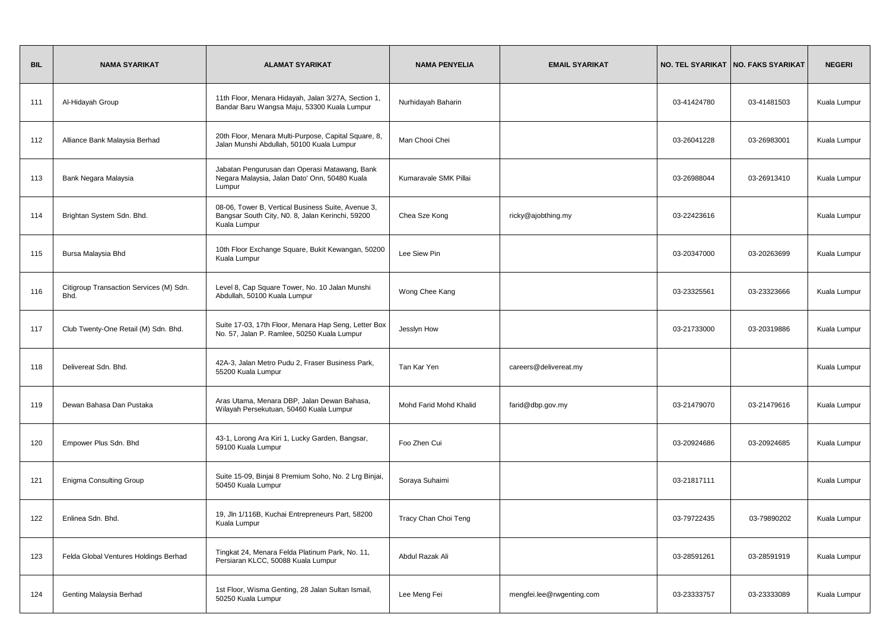| <b>BIL</b> | <b>NAMA SYARIKAT</b>                            | <b>ALAMAT SYARIKAT</b>                                                                                                 | <b>NAMA PENYELIA</b>   | <b>EMAIL SYARIKAT</b>     |             | NO. TEL SYARIKAT   NO. FAKS SYARIKAT | <b>NEGERI</b> |
|------------|-------------------------------------------------|------------------------------------------------------------------------------------------------------------------------|------------------------|---------------------------|-------------|--------------------------------------|---------------|
| 111        | Al-Hidayah Group                                | 11th Floor, Menara Hidayah, Jalan 3/27A, Section 1,<br>Bandar Baru Wangsa Maju, 53300 Kuala Lumpur                     | Nurhidayah Baharin     |                           | 03-41424780 | 03-41481503                          | Kuala Lumpur  |
| 112        | Alliance Bank Malaysia Berhad                   | 20th Floor, Menara Multi-Purpose, Capital Square, 8,<br>Jalan Munshi Abdullah, 50100 Kuala Lumpur                      | Man Chooi Chei         |                           | 03-26041228 | 03-26983001                          | Kuala Lumpur  |
| 113        | Bank Negara Malaysia                            | Jabatan Pengurusan dan Operasi Matawang, Bank<br>Negara Malaysia, Jalan Dato' Onn, 50480 Kuala<br>Lumpur               | Kumaravale SMK Pillai  |                           | 03-26988044 | 03-26913410                          | Kuala Lumpur  |
| 114        | Brightan System Sdn. Bhd.                       | 08-06, Tower B, Vertical Business Suite, Avenue 3,<br>Bangsar South City, N0. 8, Jalan Kerinchi, 59200<br>Kuala Lumpur | Chea Sze Kong          | ricky@ajobthing.my        | 03-22423616 |                                      | Kuala Lumpur  |
| 115        | Bursa Malaysia Bhd                              | 10th Floor Exchange Square, Bukit Kewangan, 50200<br>Kuala Lumpur                                                      | Lee Siew Pin           |                           | 03-20347000 | 03-20263699                          | Kuala Lumpur  |
| 116        | Citigroup Transaction Services (M) Sdn.<br>Bhd. | Level 8, Cap Square Tower, No. 10 Jalan Munshi<br>Abdullah, 50100 Kuala Lumpur                                         | Wong Chee Kang         |                           | 03-23325561 | 03-23323666                          | Kuala Lumpur  |
| 117        | Club Twenty-One Retail (M) Sdn. Bhd.            | Suite 17-03, 17th Floor, Menara Hap Seng, Letter Box<br>No. 57, Jalan P. Ramlee, 50250 Kuala Lumpur                    | Jesslyn How            |                           | 03-21733000 | 03-20319886                          | Kuala Lumpur  |
| 118        | Delivereat Sdn. Bhd.                            | 42A-3, Jalan Metro Pudu 2, Fraser Business Park,<br>55200 Kuala Lumpur                                                 | Tan Kar Yen            | careers@delivereat.my     |             |                                      | Kuala Lumpur  |
| 119        | Dewan Bahasa Dan Pustaka                        | Aras Utama, Menara DBP, Jalan Dewan Bahasa,<br>Wilayah Persekutuan, 50460 Kuala Lumpur                                 | Mohd Farid Mohd Khalid | farid@dbp.gov.my          | 03-21479070 | 03-21479616                          | Kuala Lumpur  |
| 120        | Empower Plus Sdn. Bhd                           | 43-1, Lorong Ara Kiri 1, Lucky Garden, Bangsar,<br>59100 Kuala Lumpur                                                  | Foo Zhen Cui           |                           | 03-20924686 | 03-20924685                          | Kuala Lumpur  |
| 121        | <b>Enigma Consulting Group</b>                  | Suite 15-09, Binjai 8 Premium Soho, No. 2 Lrg Binjai,<br>50450 Kuala Lumpur                                            | Soraya Suhaimi         |                           | 03-21817111 |                                      | Kuala Lumpur  |
| 122        | Enlinea Sdn. Bhd.                               | 19, Jln 1/116B, Kuchai Entrepreneurs Part, 58200<br>Kuala Lumpur                                                       | Tracy Chan Choi Teng   |                           | 03-79722435 | 03-79890202                          | Kuala Lumpur  |
| 123        | Felda Global Ventures Holdings Berhad           | Tingkat 24, Menara Felda Platinum Park, No. 11,<br>Persiaran KLCC, 50088 Kuala Lumpur                                  | Abdul Razak Ali        |                           | 03-28591261 | 03-28591919                          | Kuala Lumpur  |
| 124        | Genting Malaysia Berhad                         | 1st Floor, Wisma Genting, 28 Jalan Sultan Ismail,<br>50250 Kuala Lumpur                                                | Lee Meng Fei           | mengfei.lee@rwgenting.com | 03-23333757 | 03-23333089                          | Kuala Lumpur  |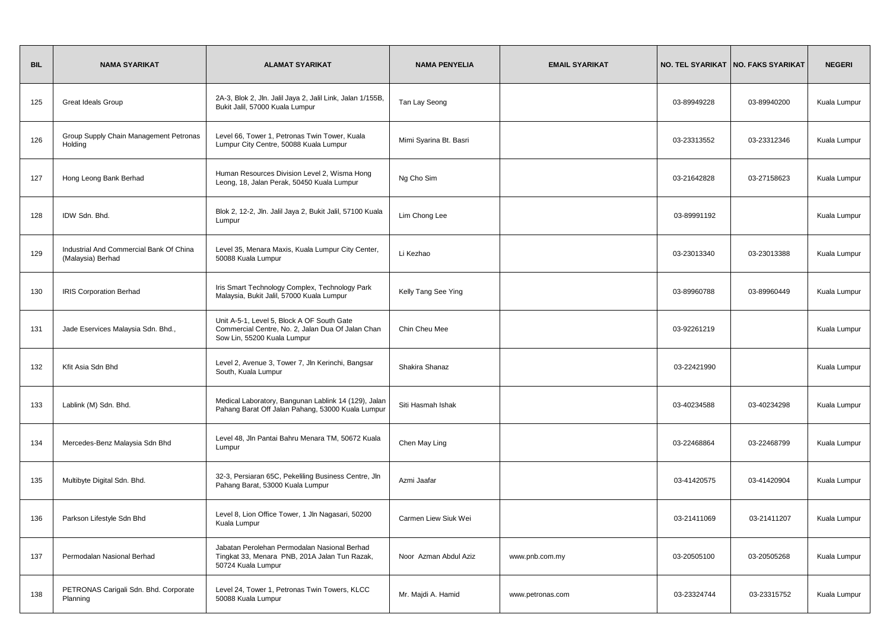| <b>BIL</b> | <b>NAMA SYARIKAT</b>                                         | <b>ALAMAT SYARIKAT</b>                                                                                                         | <b>NAMA PENYELIA</b>   | <b>EMAIL SYARIKAT</b> |             | NO. TEL SYARIKAT   NO. FAKS SYARIKAT | <b>NEGERI</b> |
|------------|--------------------------------------------------------------|--------------------------------------------------------------------------------------------------------------------------------|------------------------|-----------------------|-------------|--------------------------------------|---------------|
| 125        | <b>Great Ideals Group</b>                                    | 2A-3, Blok 2, Jln. Jalil Jaya 2, Jalil Link, Jalan 1/155B,<br>Bukit Jalil, 57000 Kuala Lumpur                                  | Tan Lay Seong          |                       | 03-89949228 | 03-89940200                          | Kuala Lumpur  |
| 126        | Group Supply Chain Management Petronas<br>Holding            | Level 66, Tower 1, Petronas Twin Tower, Kuala<br>Lumpur City Centre, 50088 Kuala Lumpur                                        | Mimi Syarina Bt. Basri |                       | 03-23313552 | 03-23312346                          | Kuala Lumpur  |
| 127        | Hong Leong Bank Berhad                                       | Human Resources Division Level 2, Wisma Hong<br>Leong, 18, Jalan Perak, 50450 Kuala Lumpur                                     | Ng Cho Sim             |                       | 03-21642828 | 03-27158623                          | Kuala Lumpur  |
| 128        | IDW Sdn. Bhd.                                                | Blok 2, 12-2, Jln. Jalil Jaya 2, Bukit Jalil, 57100 Kuala<br>Lumpur                                                            | Lim Chong Lee          |                       | 03-89991192 |                                      | Kuala Lumpur  |
| 129        | Industrial And Commercial Bank Of China<br>(Malaysia) Berhad | Level 35, Menara Maxis, Kuala Lumpur City Center,<br>50088 Kuala Lumpur                                                        | Li Kezhao              |                       | 03-23013340 | 03-23013388                          | Kuala Lumpur  |
| 130        | <b>IRIS Corporation Berhad</b>                               | Iris Smart Technology Complex, Technology Park<br>Malaysia, Bukit Jalil, 57000 Kuala Lumpur                                    | Kelly Tang See Ying    |                       | 03-89960788 | 03-89960449                          | Kuala Lumpur  |
| 131        | Jade Eservices Malaysia Sdn. Bhd.,                           | Unit A-5-1, Level 5, Block A OF South Gate<br>Commercial Centre, No. 2, Jalan Dua Of Jalan Chan<br>Sow Lin, 55200 Kuala Lumpur | Chin Cheu Mee          |                       | 03-92261219 |                                      | Kuala Lumpur  |
| 132        | Kfit Asia Sdn Bhd                                            | Level 2, Avenue 3, Tower 7, Jln Kerinchi, Bangsar<br>South, Kuala Lumpur                                                       | Shakira Shanaz         |                       | 03-22421990 |                                      | Kuala Lumpur  |
| 133        | Lablink (M) Sdn. Bhd.                                        | Medical Laboratory, Bangunan Lablink 14 (129), Jalan<br>Pahang Barat Off Jalan Pahang, 53000 Kuala Lumpur                      | Siti Hasmah Ishak      |                       | 03-40234588 | 03-40234298                          | Kuala Lumpur  |
| 134        | Mercedes-Benz Malaysia Sdn Bhd                               | Level 48, Jln Pantai Bahru Menara TM, 50672 Kuala<br>Lumpur                                                                    | Chen May Ling          |                       | 03-22468864 | 03-22468799                          | Kuala Lumpur  |
| 135        | Multibyte Digital Sdn. Bhd.                                  | 32-3, Persiaran 65C, Pekeliling Business Centre, Jln<br>Pahang Barat, 53000 Kuala Lumpur                                       | Azmi Jaafar            |                       | 03-41420575 | 03-41420904                          | Kuala Lumpur  |
| 136        | Parkson Lifestyle Sdn Bhd                                    | Level 8, Lion Office Tower, 1 Jln Nagasari, 50200<br>Kuala Lumpur                                                              | Carmen Liew Siuk Wei   |                       | 03-21411069 | 03-21411207                          | Kuala Lumpur  |
| 137        | Permodalan Nasional Berhad                                   | Jabatan Perolehan Permodalan Nasional Berhad<br>Tingkat 33, Menara PNB, 201A Jalan Tun Razak,<br>50724 Kuala Lumpur            | Noor Azman Abdul Aziz  | www.pnb.com.my        | 03-20505100 | 03-20505268                          | Kuala Lumpur  |
| 138        | PETRONAS Carigali Sdn. Bhd. Corporate<br>Planning            | Level 24, Tower 1, Petronas Twin Towers, KLCC<br>50088 Kuala Lumpur                                                            | Mr. Majdi A. Hamid     | www.petronas.com      | 03-23324744 | 03-23315752                          | Kuala Lumpur  |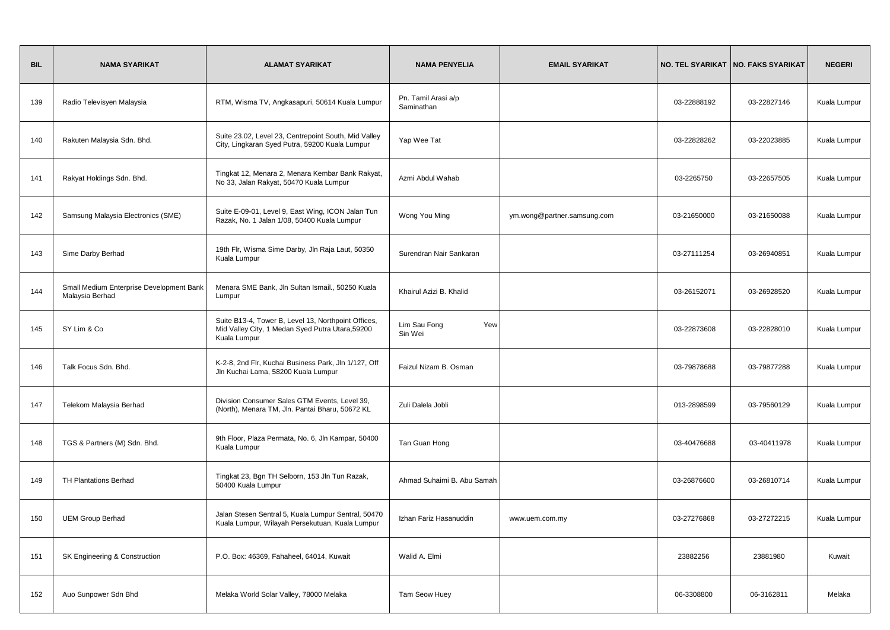| <b>BIL</b> | <b>NAMA SYARIKAT</b>                                        | <b>ALAMAT SYARIKAT</b>                                                                                                  | <b>NAMA PENYELIA</b>              | <b>EMAIL SYARIKAT</b>       |             | NO. TEL SYARIKAT   NO. FAKS SYARIKAT | <b>NEGERI</b> |
|------------|-------------------------------------------------------------|-------------------------------------------------------------------------------------------------------------------------|-----------------------------------|-----------------------------|-------------|--------------------------------------|---------------|
| 139        | Radio Televisyen Malaysia                                   | RTM, Wisma TV, Angkasapuri, 50614 Kuala Lumpur                                                                          | Pn. Tamil Arasi a/p<br>Saminathan |                             | 03-22888192 | 03-22827146                          | Kuala Lumpur  |
| 140        | Rakuten Malaysia Sdn. Bhd.                                  | Suite 23.02, Level 23, Centrepoint South, Mid Valley<br>City, Lingkaran Syed Putra, 59200 Kuala Lumpur                  | Yap Wee Tat                       |                             | 03-22828262 | 03-22023885                          | Kuala Lumpur  |
| 141        | Rakyat Holdings Sdn. Bhd.                                   | Tingkat 12, Menara 2, Menara Kembar Bank Rakyat,<br>No 33, Jalan Rakyat, 50470 Kuala Lumpur                             | Azmi Abdul Wahab                  |                             | 03-2265750  | 03-22657505                          | Kuala Lumpur  |
| 142        | Samsung Malaysia Electronics (SME)                          | Suite E-09-01, Level 9, East Wing, ICON Jalan Tun<br>Razak, No. 1 Jalan 1/08, 50400 Kuala Lumpur                        | Wong You Ming                     | ym.wong@partner.samsung.com | 03-21650000 | 03-21650088                          | Kuala Lumpur  |
| 143        | Sime Darby Berhad                                           | 19th Flr, Wisma Sime Darby, Jln Raja Laut, 50350<br>Kuala Lumpur                                                        | Surendran Nair Sankaran           |                             | 03-27111254 | 03-26940851                          | Kuala Lumpur  |
| 144        | Small Medium Enterprise Development Bank<br>Malaysia Berhad | Menara SME Bank, Jln Sultan Ismail., 50250 Kuala<br>Lumpur                                                              | Khairul Azizi B. Khalid           |                             | 03-26152071 | 03-26928520                          | Kuala Lumpur  |
| 145        | SY Lim & Co                                                 | Suite B13-4, Tower B, Level 13, Northpoint Offices,<br>Mid Valley City, 1 Medan Syed Putra Utara, 59200<br>Kuala Lumpur | Lim Sau Fong<br>Yew<br>Sin Wei    |                             | 03-22873608 | 03-22828010                          | Kuala Lumpur  |
| 146        | Talk Focus Sdn. Bhd.                                        | K-2-8, 2nd Flr, Kuchai Business Park, Jln 1/127, Off<br>Jln Kuchai Lama, 58200 Kuala Lumpur                             | Faizul Nizam B. Osman             |                             | 03-79878688 | 03-79877288                          | Kuala Lumpur  |
| 147        | Telekom Malaysia Berhad                                     | Division Consumer Sales GTM Events, Level 39,<br>(North), Menara TM, Jln. Pantai Bharu, 50672 KL                        | Zuli Dalela Jobli                 |                             | 013-2898599 | 03-79560129                          | Kuala Lumpur  |
| 148        | TGS & Partners (M) Sdn. Bhd.                                | 9th Floor, Plaza Permata, No. 6, Jln Kampar, 50400<br>Kuala Lumpur                                                      | Tan Guan Hong                     |                             | 03-40476688 | 03-40411978                          | Kuala Lumpur  |
| 149        | <b>TH Plantations Berhad</b>                                | Tingkat 23, Bgn TH Selborn, 153 Jln Tun Razak,<br>50400 Kuala Lumpur                                                    | Ahmad Suhaimi B. Abu Samah        |                             | 03-26876600 | 03-26810714                          | Kuala Lumpur  |
| 150        | <b>UEM Group Berhad</b>                                     | Jalan Stesen Sentral 5, Kuala Lumpur Sentral, 50470<br>Kuala Lumpur, Wilayah Persekutuan, Kuala Lumpur                  | Izhan Fariz Hasanuddin            | www.uem.com.my              | 03-27276868 | 03-27272215                          | Kuala Lumpur  |
| 151        | SK Engineering & Construction                               | P.O. Box: 46369, Fahaheel, 64014, Kuwait                                                                                | Walid A. Elmi                     |                             | 23882256    | 23881980                             | Kuwait        |
| 152        | Auo Sunpower Sdn Bhd                                        | Melaka World Solar Valley, 78000 Melaka                                                                                 | Tam Seow Huey                     |                             | 06-3308800  | 06-3162811                           | Melaka        |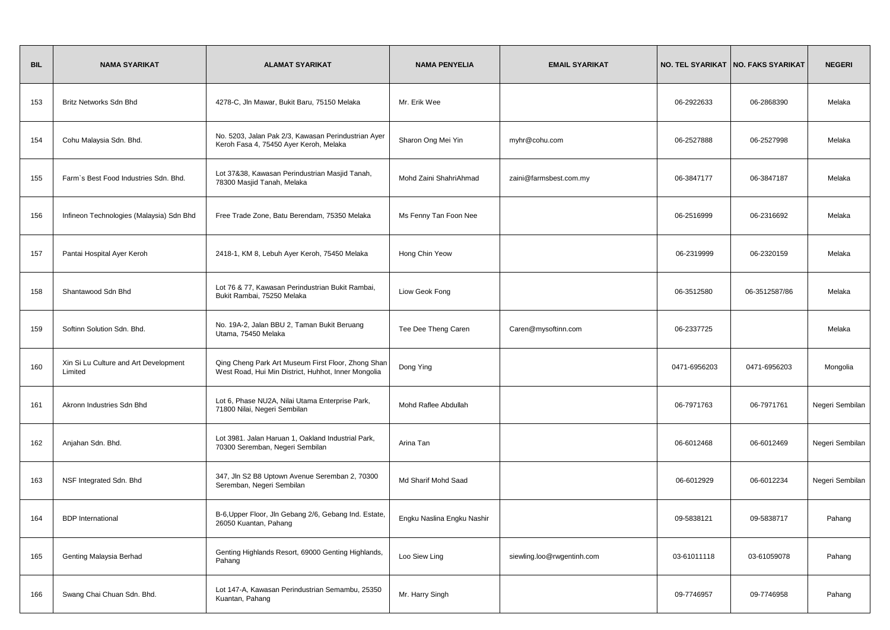| <b>BIL</b> | <b>NAMA SYARIKAT</b>                             | <b>ALAMAT SYARIKAT</b>                                                                                    | <b>NAMA PENYELIA</b>       | <b>EMAIL SYARIKAT</b>      |              | NO. TEL SYARIKAT   NO. FAKS SYARIKAT | <b>NEGERI</b>   |
|------------|--------------------------------------------------|-----------------------------------------------------------------------------------------------------------|----------------------------|----------------------------|--------------|--------------------------------------|-----------------|
| 153        | Britz Networks Sdn Bhd                           | 4278-C, Jln Mawar, Bukit Baru, 75150 Melaka                                                               | Mr. Erik Wee               |                            | 06-2922633   | 06-2868390                           | Melaka          |
| 154        | Cohu Malaysia Sdn. Bhd.                          | No. 5203, Jalan Pak 2/3, Kawasan Perindustrian Ayer<br>Keroh Fasa 4, 75450 Ayer Keroh, Melaka             | Sharon Ong Mei Yin         | myhr@cohu.com              | 06-2527888   | 06-2527998                           | Melaka          |
| 155        | Farm's Best Food Industries Sdn. Bhd.            | Lot 37&38, Kawasan Perindustrian Masjid Tanah,<br>78300 Masjid Tanah, Melaka                              | Mohd Zaini ShahriAhmad     | zaini@farmsbest.com.my     | 06-3847177   | 06-3847187                           | Melaka          |
| 156        | Infineon Technologies (Malaysia) Sdn Bhd         | Free Trade Zone, Batu Berendam, 75350 Melaka                                                              | Ms Fenny Tan Foon Nee      |                            | 06-2516999   | 06-2316692                           | Melaka          |
| 157        | Pantai Hospital Ayer Keroh                       | 2418-1, KM 8, Lebuh Ayer Keroh, 75450 Melaka                                                              | Hong Chin Yeow             |                            | 06-2319999   | 06-2320159                           | Melaka          |
| 158        | Shantawood Sdn Bhd                               | Lot 76 & 77, Kawasan Perindustrian Bukit Rambai,<br>Bukit Rambai, 75250 Melaka                            | Liow Geok Fong             |                            | 06-3512580   | 06-3512587/86                        | Melaka          |
| 159        | Softinn Solution Sdn. Bhd.                       | No. 19A-2, Jalan BBU 2, Taman Bukit Beruang<br>Utama, 75450 Melaka                                        | Tee Dee Theng Caren        | Caren@mysoftinn.com        | 06-2337725   |                                      | Melaka          |
| 160        | Xin Si Lu Culture and Art Development<br>Limited | Qing Cheng Park Art Museum First Floor, Zhong Shan<br>West Road, Hui Min District, Huhhot, Inner Mongolia | Dong Ying                  |                            | 0471-6956203 | 0471-6956203                         | Mongolia        |
| 161        | Akronn Industries Sdn Bhd                        | Lot 6, Phase NU2A, Nilai Utama Enterprise Park,<br>71800 Nilai, Negeri Sembilan                           | Mohd Raflee Abdullah       |                            | 06-7971763   | 06-7971761                           | Negeri Sembilan |
| 162        | Anjahan Sdn. Bhd.                                | Lot 3981. Jalan Haruan 1, Oakland Industrial Park,<br>70300 Seremban, Negeri Sembilan                     | Arina Tan                  |                            | 06-6012468   | 06-6012469                           | Negeri Sembilan |
| 163        | NSF Integrated Sdn. Bhd                          | 347, Jln S2 B8 Uptown Avenue Seremban 2, 70300<br>Seremban, Negeri Sembilan                               | Md Sharif Mohd Saad        |                            | 06-6012929   | 06-6012234                           | Negeri Sembilan |
| 164        | <b>BDP</b> International                         | B-6, Upper Floor, Jln Gebang 2/6, Gebang Ind. Estate,<br>26050 Kuantan, Pahang                            | Engku Naslina Engku Nashir |                            | 09-5838121   | 09-5838717                           | Pahang          |
| 165        | Genting Malaysia Berhad                          | Genting Highlands Resort, 69000 Genting Highlands,<br>Pahang                                              | Loo Siew Ling              | siewling.loo@rwgentinh.com | 03-61011118  | 03-61059078                          | Pahang          |
| 166        | Swang Chai Chuan Sdn. Bhd.                       | Lot 147-A, Kawasan Perindustrian Semambu, 25350<br>Kuantan, Pahang                                        | Mr. Harry Singh            |                            | 09-7746957   | 09-7746958                           | Pahang          |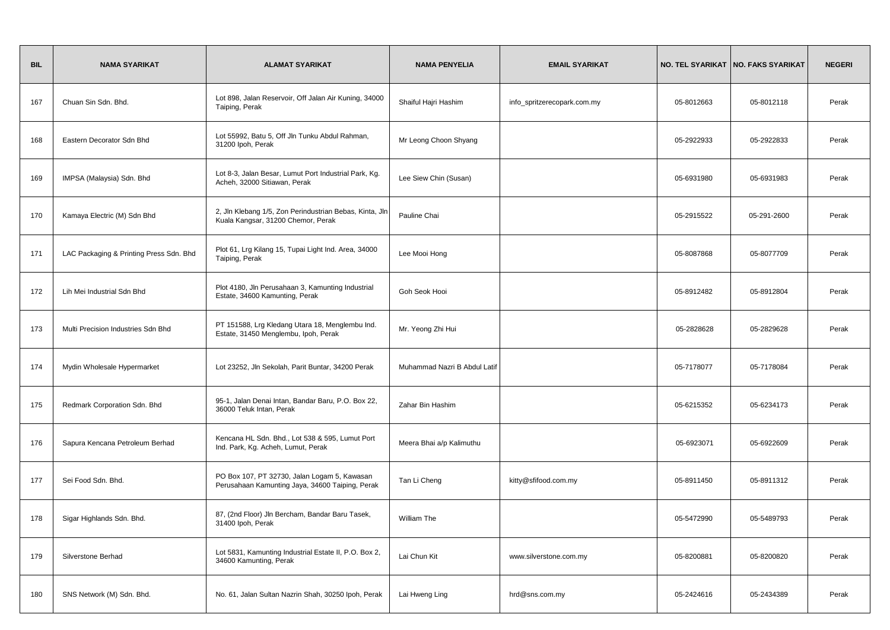| <b>BIL</b> | <b>NAMA SYARIKAT</b>                    | <b>ALAMAT SYARIKAT</b>                                                                          | <b>NAMA PENYELIA</b>         | <b>EMAIL SYARIKAT</b>       |            | NO. TEL SYARIKAT   NO. FAKS SYARIKAT | <b>NEGERI</b> |
|------------|-----------------------------------------|-------------------------------------------------------------------------------------------------|------------------------------|-----------------------------|------------|--------------------------------------|---------------|
| 167        | Chuan Sin Sdn. Bhd.                     | Lot 898, Jalan Reservoir, Off Jalan Air Kuning, 34000<br>Taiping, Perak                         | Shaiful Hajri Hashim         | info_spritzerecopark.com.my | 05-8012663 | 05-8012118                           | Perak         |
| 168        | Eastern Decorator Sdn Bhd               | Lot 55992, Batu 5, Off Jln Tunku Abdul Rahman,<br>31200 lpoh, Perak                             | Mr Leong Choon Shyang        |                             | 05-2922933 | 05-2922833                           | Perak         |
| 169        | IMPSA (Malaysia) Sdn. Bhd               | Lot 8-3, Jalan Besar, Lumut Port Industrial Park, Kg.<br>Acheh, 32000 Sitiawan, Perak           | Lee Siew Chin (Susan)        |                             | 05-6931980 | 05-6931983                           | Perak         |
| 170        | Kamaya Electric (M) Sdn Bhd             | 2, Jln Klebang 1/5, Zon Perindustrian Bebas, Kinta, Jln<br>Kuala Kangsar, 31200 Chemor, Perak   | Pauline Chai                 |                             | 05-2915522 | 05-291-2600                          | Perak         |
| 171        | LAC Packaging & Printing Press Sdn. Bhd | Plot 61, Lrg Kilang 15, Tupai Light Ind. Area, 34000<br>Taiping, Perak                          | Lee Mooi Hong                |                             | 05-8087868 | 05-8077709                           | Perak         |
| 172        | Lih Mei Industrial Sdn Bhd              | Plot 4180, Jln Perusahaan 3, Kamunting Industrial<br>Estate, 34600 Kamunting, Perak             | Goh Seok Hooi                |                             | 05-8912482 | 05-8912804                           | Perak         |
| 173        | Multi Precision Industries Sdn Bhd      | PT 151588, Lrg Kledang Utara 18, Menglembu Ind.<br>Estate, 31450 Menglembu, Ipoh, Perak         | Mr. Yeong Zhi Hui            |                             | 05-2828628 | 05-2829628                           | Perak         |
| 174        | Mydin Wholesale Hypermarket             | Lot 23252, Jln Sekolah, Parit Buntar, 34200 Perak                                               | Muhammad Nazri B Abdul Latif |                             | 05-7178077 | 05-7178084                           | Perak         |
| 175        | Redmark Corporation Sdn. Bhd            | 95-1, Jalan Denai Intan, Bandar Baru, P.O. Box 22,<br>36000 Teluk Intan, Perak                  | Zahar Bin Hashim             |                             | 05-6215352 | 05-6234173                           | Perak         |
| 176        | Sapura Kencana Petroleum Berhad         | Kencana HL Sdn. Bhd., Lot 538 & 595, Lumut Port<br>Ind. Park, Kg. Acheh, Lumut, Perak           | Meera Bhai a/p Kalimuthu     |                             | 05-6923071 | 05-6922609                           | Perak         |
| 177        | Sei Food Sdn. Bhd.                      | PO Box 107, PT 32730, Jalan Logam 5, Kawasan<br>Perusahaan Kamunting Jaya, 34600 Taiping, Perak | Tan Li Cheng                 | kitty@sfifood.com.my        | 05-8911450 | 05-8911312                           | Perak         |
| 178        | Sigar Highlands Sdn. Bhd.               | 87, (2nd Floor) Jln Bercham, Bandar Baru Tasek,<br>31400 lpoh, Perak                            | William The                  |                             | 05-5472990 | 05-5489793                           | Perak         |
| 179        | Silverstone Berhad                      | Lot 5831, Kamunting Industrial Estate II, P.O. Box 2,<br>34600 Kamunting, Perak                 | Lai Chun Kit                 | www.silverstone.com.my      | 05-8200881 | 05-8200820                           | Perak         |
| 180        | SNS Network (M) Sdn. Bhd.               | No. 61, Jalan Sultan Nazrin Shah, 30250 Ipoh, Perak                                             | Lai Hweng Ling               | hrd@sns.com.my              | 05-2424616 | 05-2434389                           | Perak         |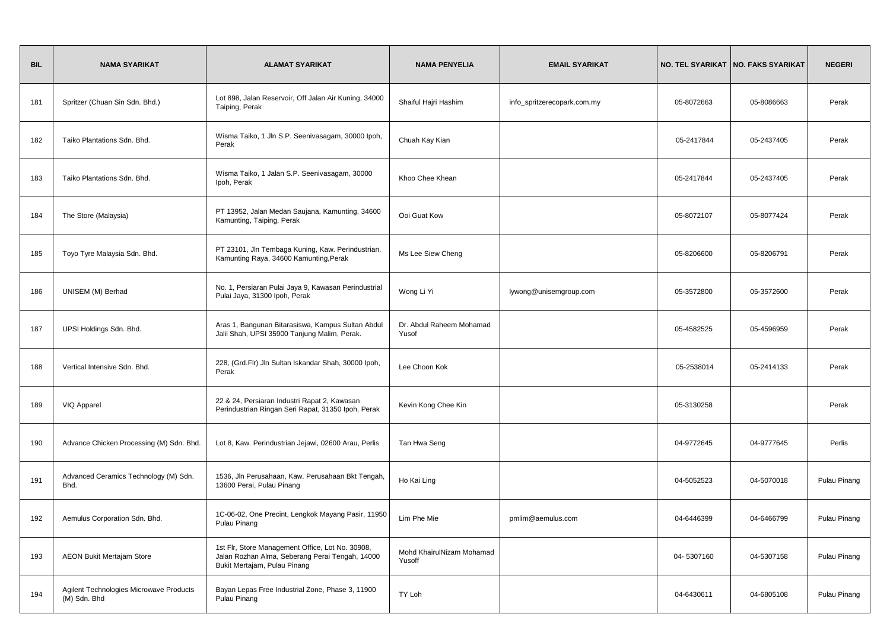| <b>BIL</b> | <b>NAMA SYARIKAT</b>                                    | <b>ALAMAT SYARIKAT</b>                                                                                                              | <b>NAMA PENYELIA</b>                | <b>EMAIL SYARIKAT</b>       |            | NO. TEL SYARIKAT   NO. FAKS SYARIKAT | <b>NEGERI</b> |
|------------|---------------------------------------------------------|-------------------------------------------------------------------------------------------------------------------------------------|-------------------------------------|-----------------------------|------------|--------------------------------------|---------------|
| 181        | Spritzer (Chuan Sin Sdn. Bhd.)                          | Lot 898, Jalan Reservoir, Off Jalan Air Kuning, 34000<br>Taiping, Perak                                                             | Shaiful Hajri Hashim                | info_spritzerecopark.com.my | 05-8072663 | 05-8086663                           | Perak         |
| 182        | Taiko Plantations Sdn. Bhd.                             | Wisma Taiko, 1 Jln S.P. Seenivasagam, 30000 lpoh,<br>Perak                                                                          | Chuah Kay Kian                      |                             | 05-2417844 | 05-2437405                           | Perak         |
| 183        | Taiko Plantations Sdn. Bhd.                             | Wisma Taiko, 1 Jalan S.P. Seenivasagam, 30000<br>Ipoh, Perak                                                                        | Khoo Chee Khean                     |                             | 05-2417844 | 05-2437405                           | Perak         |
| 184        | The Store (Malaysia)                                    | PT 13952, Jalan Medan Saujana, Kamunting, 34600<br>Kamunting, Taiping, Perak                                                        | Ooi Guat Kow                        |                             | 05-8072107 | 05-8077424                           | Perak         |
| 185        | Toyo Tyre Malaysia Sdn. Bhd.                            | PT 23101, Jln Tembaga Kuning, Kaw. Perindustrian,<br>Kamunting Raya, 34600 Kamunting, Perak                                         | Ms Lee Siew Cheng                   |                             | 05-8206600 | 05-8206791                           | Perak         |
| 186        | UNISEM (M) Berhad                                       | No. 1, Persiaran Pulai Jaya 9, Kawasan Perindustrial<br>Pulai Jaya, 31300 Ipoh, Perak                                               | Wong Li Yi                          | lywong@unisemgroup.com      | 05-3572800 | 05-3572600                           | Perak         |
| 187        | UPSI Holdings Sdn. Bhd.                                 | Aras 1, Bangunan Bitarasiswa, Kampus Sultan Abdul<br>Jalil Shah, UPSI 35900 Tanjung Malim, Perak.                                   | Dr. Abdul Raheem Mohamad<br>Yusof   |                             | 05-4582525 | 05-4596959                           | Perak         |
| 188        | Vertical Intensive Sdn. Bhd.                            | 228, (Grd.Flr) Jln Sultan Iskandar Shah, 30000 Ipoh,<br>Perak                                                                       | Lee Choon Kok                       |                             | 05-2538014 | 05-2414133                           | Perak         |
| 189        | VIQ Apparel                                             | 22 & 24, Persiaran Industri Rapat 2, Kawasan<br>Perindustrian Ringan Seri Rapat, 31350 Ipoh, Perak                                  | Kevin Kong Chee Kin                 |                             | 05-3130258 |                                      | Perak         |
| 190        | Advance Chicken Processing (M) Sdn. Bhd.                | Lot 8, Kaw. Perindustrian Jejawi, 02600 Arau, Perlis                                                                                | Tan Hwa Seng                        |                             | 04-9772645 | 04-9777645                           | Perlis        |
| 191        | Advanced Ceramics Technology (M) Sdn.<br>Bhd.           | 1536, Jln Perusahaan, Kaw. Perusahaan Bkt Tengah,<br>13600 Perai, Pulau Pinang                                                      | Ho Kai Ling                         |                             | 04-5052523 | 04-5070018                           | Pulau Pinang  |
| 192        | Aemulus Corporation Sdn. Bhd.                           | 1C-06-02, One Precint, Lengkok Mayang Pasir, 11950<br>Pulau Pinang                                                                  | Lim Phe Mie                         | pmlim@aemulus.com           | 04-6446399 | 04-6466799                           | Pulau Pinang  |
| 193        | <b>AEON Bukit Mertajam Store</b>                        | 1st Flr, Store Management Office, Lot No. 30908,<br>Jalan Rozhan Alma, Seberang Perai Tengah, 14000<br>Bukit Mertajam, Pulau Pinang | Mohd KhairulNizam Mohamad<br>Yusoff |                             | 04-5307160 | 04-5307158                           | Pulau Pinang  |
| 194        | Agilent Technologies Microwave Products<br>(M) Sdn. Bhd | Bayan Lepas Free Industrial Zone, Phase 3, 11900<br>Pulau Pinang                                                                    | TY Loh                              |                             | 04-6430611 | 04-6805108                           | Pulau Pinang  |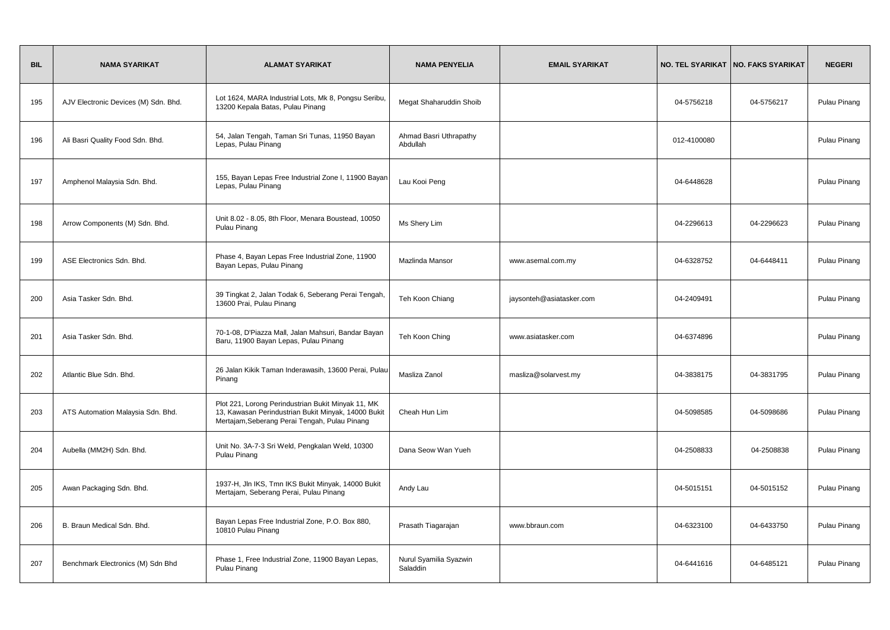| <b>BIL</b> | <b>NAMA SYARIKAT</b>                 | <b>ALAMAT SYARIKAT</b>                                                                                                                                     | <b>NAMA PENYELIA</b>               | <b>EMAIL SYARIKAT</b>    |             | NO. TEL SYARIKAT   NO. FAKS SYARIKAT | <b>NEGERI</b> |
|------------|--------------------------------------|------------------------------------------------------------------------------------------------------------------------------------------------------------|------------------------------------|--------------------------|-------------|--------------------------------------|---------------|
| 195        | AJV Electronic Devices (M) Sdn. Bhd. | Lot 1624, MARA Industrial Lots, Mk 8, Pongsu Seribu,<br>13200 Kepala Batas, Pulau Pinang                                                                   | Megat Shaharuddin Shoib            |                          | 04-5756218  | 04-5756217                           | Pulau Pinang  |
| 196        | Ali Basri Quality Food Sdn. Bhd.     | 54, Jalan Tengah, Taman Sri Tunas, 11950 Bayan<br>Lepas, Pulau Pinang                                                                                      | Ahmad Basri Uthrapathy<br>Abdullah |                          | 012-4100080 |                                      | Pulau Pinang  |
| 197        | Amphenol Malaysia Sdn. Bhd.          | 155, Bayan Lepas Free Industrial Zone I, 11900 Bayan<br>Lepas, Pulau Pinang                                                                                | Lau Kooi Peng                      |                          | 04-6448628  |                                      | Pulau Pinang  |
| 198        | Arrow Components (M) Sdn. Bhd.       | Unit 8.02 - 8.05, 8th Floor, Menara Boustead, 10050<br>Pulau Pinang                                                                                        | Ms Shery Lim                       |                          | 04-2296613  | 04-2296623                           | Pulau Pinang  |
| 199        | ASE Electronics Sdn. Bhd.            | Phase 4, Bayan Lepas Free Industrial Zone, 11900<br>Bayan Lepas, Pulau Pinang                                                                              | Mazlinda Mansor                    | www.asemal.com.my        | 04-6328752  | 04-6448411                           | Pulau Pinang  |
| 200        | Asia Tasker Sdn. Bhd.                | 39 Tingkat 2, Jalan Todak 6, Seberang Perai Tengah,<br>13600 Prai, Pulau Pinang                                                                            | Teh Koon Chiang                    | jaysonteh@asiatasker.com | 04-2409491  |                                      | Pulau Pinang  |
| 201        | Asia Tasker Sdn. Bhd.                | 70-1-08, D'Piazza Mall, Jalan Mahsuri, Bandar Bayan<br>Baru, 11900 Bayan Lepas, Pulau Pinang                                                               | Teh Koon Ching                     | www.asiatasker.com       | 04-6374896  |                                      | Pulau Pinang  |
| 202        | Atlantic Blue Sdn. Bhd.              | 26 Jalan Kikik Taman Inderawasih, 13600 Perai, Pulau<br>Pinang                                                                                             | Masliza Zanol                      | masliza@solarvest.my     | 04-3838175  | 04-3831795                           | Pulau Pinang  |
| 203        | ATS Automation Malaysia Sdn. Bhd.    | Plot 221, Lorong Perindustrian Bukit Minyak 11, MK<br>13, Kawasan Perindustrian Bukit Minyak, 14000 Bukit<br>Mertajam, Seberang Perai Tengah, Pulau Pinang | Cheah Hun Lim                      |                          | 04-5098585  | 04-5098686                           | Pulau Pinang  |
| 204        | Aubella (MM2H) Sdn. Bhd.             | Unit No. 3A-7-3 Sri Weld, Pengkalan Weld, 10300<br>Pulau Pinang                                                                                            | Dana Seow Wan Yueh                 |                          | 04-2508833  | 04-2508838                           | Pulau Pinang  |
| 205        | Awan Packaging Sdn. Bhd.             | 1937-H, Jln IKS, Tmn IKS Bukit Minyak, 14000 Bukit<br>Mertajam, Seberang Perai, Pulau Pinang                                                               | Andy Lau                           |                          | 04-5015151  | 04-5015152                           | Pulau Pinang  |
| 206        | B. Braun Medical Sdn. Bhd.           | Bayan Lepas Free Industrial Zone, P.O. Box 880,<br>10810 Pulau Pinang                                                                                      | Prasath Tiagarajan                 | www.bbraun.com           | 04-6323100  | 04-6433750                           | Pulau Pinang  |
| 207        | Benchmark Electronics (M) Sdn Bhd    | Phase 1, Free Industrial Zone, 11900 Bayan Lepas,<br>Pulau Pinang                                                                                          | Nurul Syamilia Syazwin<br>Saladdin |                          | 04-6441616  | 04-6485121                           | Pulau Pinang  |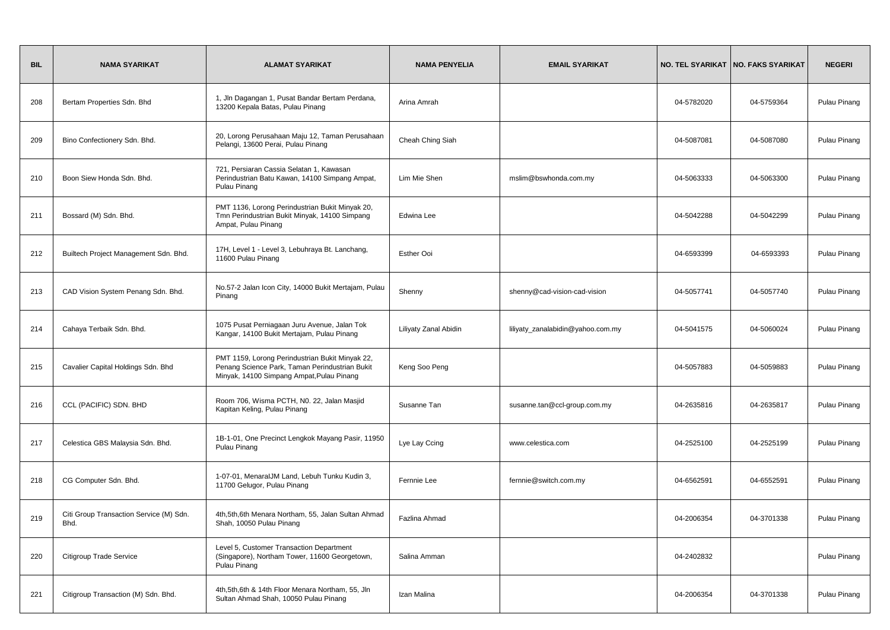| <b>BIL</b> | <b>NAMA SYARIKAT</b>                            | <b>ALAMAT SYARIKAT</b>                                                                                                                         | <b>NAMA PENYELIA</b>  | <b>EMAIL SYARIKAT</b>             |            | NO. TEL SYARIKAT   NO. FAKS SYARIKAT | <b>NEGERI</b> |
|------------|-------------------------------------------------|------------------------------------------------------------------------------------------------------------------------------------------------|-----------------------|-----------------------------------|------------|--------------------------------------|---------------|
| 208        | Bertam Properties Sdn. Bhd                      | 1, Jln Dagangan 1, Pusat Bandar Bertam Perdana,<br>13200 Kepala Batas, Pulau Pinang                                                            | Arina Amrah           |                                   | 04-5782020 | 04-5759364                           | Pulau Pinang  |
| 209        | Bino Confectionery Sdn. Bhd.                    | 20, Lorong Perusahaan Maju 12, Taman Perusahaan<br>Pelangi, 13600 Perai, Pulau Pinang                                                          | Cheah Ching Siah      |                                   | 04-5087081 | 04-5087080                           | Pulau Pinang  |
| 210        | Boon Siew Honda Sdn. Bhd.                       | 721, Persiaran Cassia Selatan 1, Kawasan<br>Perindustrian Batu Kawan, 14100 Simpang Ampat,<br>Pulau Pinang                                     | Lim Mie Shen          | mslim@bswhonda.com.my             | 04-5063333 | 04-5063300                           | Pulau Pinang  |
| 211        | Bossard (M) Sdn. Bhd.                           | PMT 1136, Lorong Perindustrian Bukit Minyak 20,<br>Tmn Perindustrian Bukit Minyak, 14100 Simpang<br>Ampat, Pulau Pinang                        | Edwina Lee            |                                   | 04-5042288 | 04-5042299                           | Pulau Pinang  |
| 212        | Builtech Project Management Sdn. Bhd.           | 17H, Level 1 - Level 3, Lebuhraya Bt. Lanchang,<br>11600 Pulau Pinang                                                                          | Esther Ooi            |                                   | 04-6593399 | 04-6593393                           | Pulau Pinang  |
| 213        | CAD Vision System Penang Sdn. Bhd.              | No.57-2 Jalan Icon City, 14000 Bukit Mertajam, Pulau<br>Pinang                                                                                 | Shenny                | shenny@cad-vision-cad-vision      | 04-5057741 | 04-5057740                           | Pulau Pinang  |
| 214        | Cahaya Terbaik Sdn. Bhd.                        | 1075 Pusat Perniagaan Juru Avenue, Jalan Tok<br>Kangar, 14100 Bukit Mertajam, Pulau Pinang                                                     | Liliyaty Zanal Abidin | liliyaty_zanalabidin@yahoo.com.my | 04-5041575 | 04-5060024                           | Pulau Pinang  |
| 215        | Cavalier Capital Holdings Sdn. Bhd              | PMT 1159, Lorong Perindustrian Bukit Minyak 22,<br>Penang Science Park, Taman Perindustrian Bukit<br>Minyak, 14100 Simpang Ampat, Pulau Pinang | Keng Soo Peng         |                                   | 04-5057883 | 04-5059883                           | Pulau Pinang  |
| 216        | CCL (PACIFIC) SDN. BHD                          | Room 706, Wisma PCTH, N0. 22, Jalan Masjid<br>Kapitan Keling, Pulau Pinang                                                                     | Susanne Tan           | susanne.tan@ccl-group.com.my      | 04-2635816 | 04-2635817                           | Pulau Pinang  |
| 217        | Celestica GBS Malaysia Sdn. Bhd.                | 1B-1-01, One Precinct Lengkok Mayang Pasir, 11950<br>Pulau Pinang                                                                              | Lye Lay Ccing         | www.celestica.com                 | 04-2525100 | 04-2525199                           | Pulau Pinang  |
| 218        | CG Computer Sdn. Bhd.                           | 1-07-01, MenaralJM Land, Lebuh Tunku Kudin 3,<br>11700 Gelugor, Pulau Pinang                                                                   | Fernnie Lee           | fernnie@switch.com.my             | 04-6562591 | 04-6552591                           | Pulau Pinang  |
| 219        | Citi Group Transaction Service (M) Sdn.<br>Bhd. | 4th, 5th, 6th Menara Northam, 55, Jalan Sultan Ahmad<br>Shah, 10050 Pulau Pinang                                                               | Fazlina Ahmad         |                                   | 04-2006354 | 04-3701338                           | Pulau Pinang  |
| 220        | Citigroup Trade Service                         | Level 5, Customer Transaction Department<br>(Singapore), Northam Tower, 11600 Georgetown,<br>Pulau Pinang                                      | Salina Amman          |                                   | 04-2402832 |                                      | Pulau Pinang  |
| 221        | Citigroup Transaction (M) Sdn. Bhd.             | 4th, 5th, 6th & 14th Floor Menara Northam, 55, Jln<br>Sultan Ahmad Shah, 10050 Pulau Pinang                                                    | Izan Malina           |                                   | 04-2006354 | 04-3701338                           | Pulau Pinang  |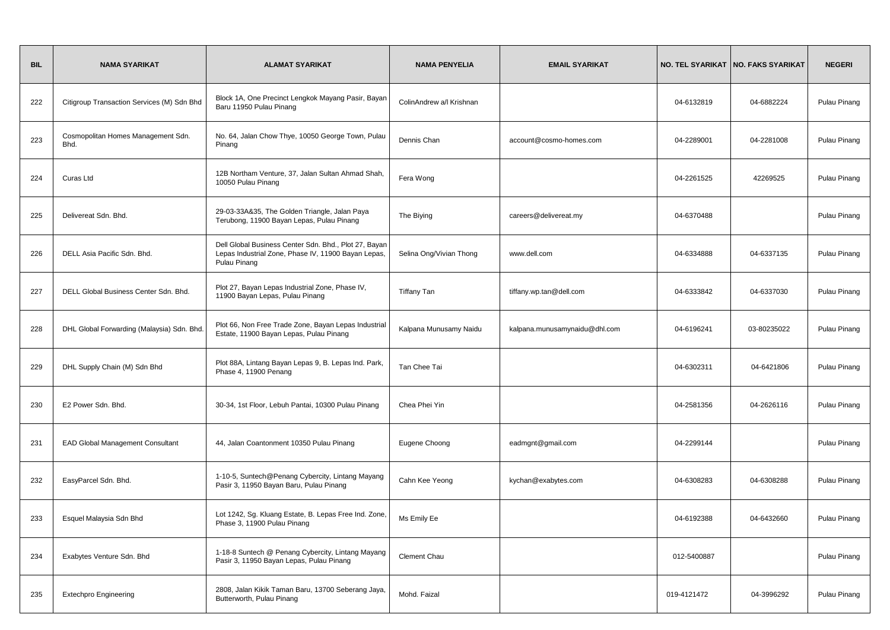| <b>BIL</b> | <b>NAMA SYARIKAT</b>                       | <b>ALAMAT SYARIKAT</b>                                                                                                       | <b>NAMA PENYELIA</b>     | <b>EMAIL SYARIKAT</b>         |             | NO. TEL SYARIKAT   NO. FAKS SYARIKAT | <b>NEGERI</b> |
|------------|--------------------------------------------|------------------------------------------------------------------------------------------------------------------------------|--------------------------|-------------------------------|-------------|--------------------------------------|---------------|
| 222        | Citigroup Transaction Services (M) Sdn Bhd | Block 1A, One Precinct Lengkok Mayang Pasir, Bayan<br>Baru 11950 Pulau Pinang                                                | ColinAndrew a/l Krishnan |                               | 04-6132819  | 04-6882224                           | Pulau Pinang  |
| 223        | Cosmopolitan Homes Management Sdn.<br>Bhd. | No. 64, Jalan Chow Thye, 10050 George Town, Pulau<br>Pinang                                                                  | Dennis Chan              | account@cosmo-homes.com       | 04-2289001  | 04-2281008                           | Pulau Pinang  |
| 224        | Curas Ltd                                  | 12B Northam Venture, 37, Jalan Sultan Ahmad Shah,<br>10050 Pulau Pinang                                                      | Fera Wong                |                               | 04-2261525  | 42269525                             | Pulau Pinang  |
| 225        | Delivereat Sdn. Bhd.                       | 29-03-33A&35, The Golden Triangle, Jalan Paya<br>Terubong, 11900 Bayan Lepas, Pulau Pinang                                   | The Biying               | careers@delivereat.my         | 04-6370488  |                                      | Pulau Pinang  |
| 226        | DELL Asia Pacific Sdn. Bhd.                | Dell Global Business Center Sdn. Bhd., Plot 27, Bayan<br>Lepas Industrial Zone, Phase IV, 11900 Bayan Lepas,<br>Pulau Pinang | Selina Ong/Vivian Thong  | www.dell.com                  | 04-6334888  | 04-6337135                           | Pulau Pinang  |
| 227        | DELL Global Business Center Sdn. Bhd.      | Plot 27, Bayan Lepas Industrial Zone, Phase IV,<br>11900 Bayan Lepas, Pulau Pinang                                           | <b>Tiffany Tan</b>       | tiffany.wp.tan@dell.com       | 04-6333842  | 04-6337030                           | Pulau Pinang  |
| 228        | DHL Global Forwarding (Malaysia) Sdn. Bhd. | Plot 66, Non Free Trade Zone, Bayan Lepas Industrial<br>Estate, 11900 Bayan Lepas, Pulau Pinang                              | Kalpana Munusamy Naidu   | kalpana.munusamynaidu@dhl.com | 04-6196241  | 03-80235022                          | Pulau Pinang  |
| 229        | DHL Supply Chain (M) Sdn Bhd               | Plot 88A, Lintang Bayan Lepas 9, B. Lepas Ind. Park,<br>Phase 4, 11900 Penang                                                | Tan Chee Tai             |                               | 04-6302311  | 04-6421806                           | Pulau Pinang  |
| 230        | E2 Power Sdn. Bhd.                         | 30-34, 1st Floor, Lebuh Pantai, 10300 Pulau Pinang                                                                           | Chea Phei Yin            |                               | 04-2581356  | 04-2626116                           | Pulau Pinang  |
| 231        | <b>EAD Global Management Consultant</b>    | 44, Jalan Coantonment 10350 Pulau Pinang                                                                                     | Eugene Choong            | eadmgnt@gmail.com             | 04-2299144  |                                      | Pulau Pinang  |
| 232        | EasyParcel Sdn. Bhd.                       | 1-10-5, Suntech@Penang Cybercity, Lintang Mayang<br>Pasir 3, 11950 Bayan Baru, Pulau Pinang                                  | Cahn Kee Yeong           | kychan@exabytes.com           | 04-6308283  | 04-6308288                           | Pulau Pinang  |
| 233        | Esquel Malaysia Sdn Bhd                    | Lot 1242, Sg. Kluang Estate, B. Lepas Free Ind. Zone,<br>Phase 3, 11900 Pulau Pinang                                         | Ms Emily Ee              |                               | 04-6192388  | 04-6432660                           | Pulau Pinang  |
| 234        | Exabytes Venture Sdn. Bhd                  | 1-18-8 Suntech @ Penang Cybercity, Lintang Mayang<br>Pasir 3, 11950 Bayan Lepas, Pulau Pinang                                | Clement Chau             |                               | 012-5400887 |                                      | Pulau Pinang  |
| 235        | <b>Extechpro Engineering</b>               | 2808, Jalan Kikik Taman Baru, 13700 Seberang Jaya,<br>Butterworth, Pulau Pinang                                              | Mohd. Faizal             |                               | 019-4121472 | 04-3996292                           | Pulau Pinang  |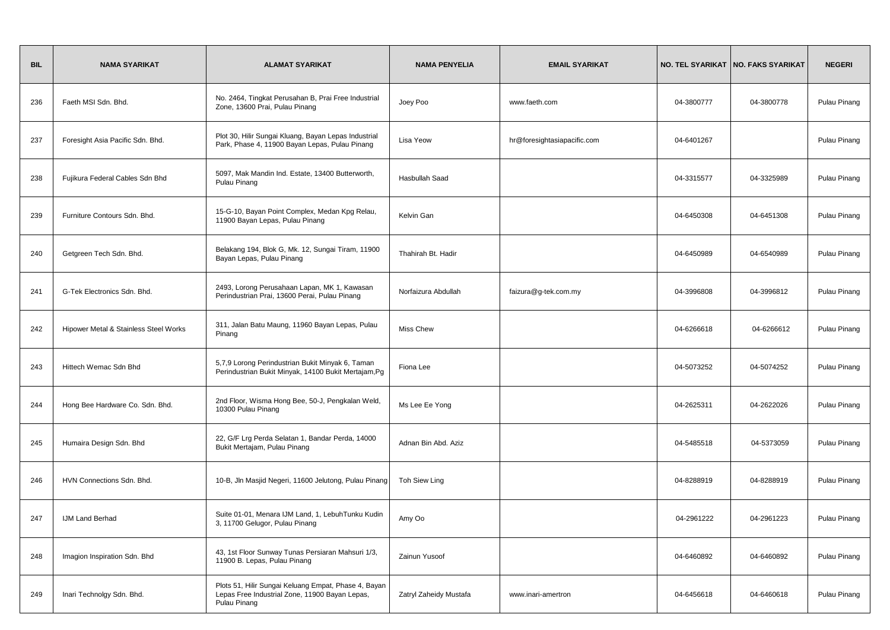| <b>BIL</b> | <b>NAMA SYARIKAT</b>                  | <b>ALAMAT SYARIKAT</b>                                                                                                 | <b>NAMA PENYELIA</b>   | <b>EMAIL SYARIKAT</b>       |            | NO. TEL SYARIKAT   NO. FAKS SYARIKAT | <b>NEGERI</b> |
|------------|---------------------------------------|------------------------------------------------------------------------------------------------------------------------|------------------------|-----------------------------|------------|--------------------------------------|---------------|
| 236        | Faeth MSI Sdn. Bhd.                   | No. 2464, Tingkat Perusahan B, Prai Free Industrial<br>Zone, 13600 Prai, Pulau Pinang                                  | Joey Poo               | www.faeth.com               | 04-3800777 | 04-3800778                           | Pulau Pinang  |
| 237        | Foresight Asia Pacific Sdn. Bhd.      | Plot 30, Hilir Sungai Kluang, Bayan Lepas Industrial<br>Park, Phase 4, 11900 Bayan Lepas, Pulau Pinang                 | Lisa Yeow              | hr@foresightasiapacific.com | 04-6401267 |                                      | Pulau Pinang  |
| 238        | Fujikura Federal Cables Sdn Bhd       | 5097, Mak Mandin Ind. Estate, 13400 Butterworth,<br>Pulau Pinang                                                       | <b>Hasbullah Saad</b>  |                             | 04-3315577 | 04-3325989                           | Pulau Pinang  |
| 239        | Furniture Contours Sdn. Bhd.          | 15-G-10, Bayan Point Complex, Medan Kpg Relau,<br>11900 Bayan Lepas, Pulau Pinang                                      | Kelvin Gan             |                             | 04-6450308 | 04-6451308                           | Pulau Pinang  |
| 240        | Getgreen Tech Sdn. Bhd.               | Belakang 194, Blok G, Mk. 12, Sungai Tiram, 11900<br>Bayan Lepas, Pulau Pinang                                         | Thahirah Bt. Hadir     |                             | 04-6450989 | 04-6540989                           | Pulau Pinang  |
| 241        | G-Tek Electronics Sdn. Bhd.           | 2493, Lorong Perusahaan Lapan, MK 1, Kawasan<br>Perindustrian Prai, 13600 Perai, Pulau Pinang                          | Norfaizura Abdullah    | faizura@g-tek.com.my        | 04-3996808 | 04-3996812                           | Pulau Pinang  |
| 242        | Hipower Metal & Stainless Steel Works | 311, Jalan Batu Maung, 11960 Bayan Lepas, Pulau<br>Pinang                                                              | <b>Miss Chew</b>       |                             | 04-6266618 | 04-6266612                           | Pulau Pinang  |
| 243        | Hittech Wemac Sdn Bhd                 | 5,7,9 Lorong Perindustrian Bukit Minyak 6, Taman<br>Perindustrian Bukit Minyak, 14100 Bukit Mertajam, Pg               | Fiona Lee              |                             | 04-5073252 | 04-5074252                           | Pulau Pinang  |
| 244        | Hong Bee Hardware Co. Sdn. Bhd.       | 2nd Floor, Wisma Hong Bee, 50-J, Pengkalan Weld,<br>10300 Pulau Pinang                                                 | Ms Lee Ee Yong         |                             | 04-2625311 | 04-2622026                           | Pulau Pinang  |
| 245        | Humaira Design Sdn. Bhd               | 22, G/F Lrg Perda Selatan 1, Bandar Perda, 14000<br>Bukit Mertajam, Pulau Pinang                                       | Adnan Bin Abd. Aziz    |                             | 04-5485518 | 04-5373059                           | Pulau Pinang  |
| 246        | HVN Connections Sdn. Bhd.             | 10-B, Jln Masjid Negeri, 11600 Jelutong, Pulau Pinang                                                                  | Toh Siew Ling          |                             | 04-8288919 | 04-8288919                           | Pulau Pinang  |
| 247        | <b>IJM Land Berhad</b>                | Suite 01-01, Menara IJM Land, 1, LebuhTunku Kudin<br>3, 11700 Gelugor, Pulau Pinang                                    | Amy Oo                 |                             | 04-2961222 | 04-2961223                           | Pulau Pinang  |
| 248        | Imagion Inspiration Sdn. Bhd          | 43, 1st Floor Sunway Tunas Persiaran Mahsuri 1/3,<br>11900 B. Lepas, Pulau Pinang                                      | Zainun Yusoof          |                             | 04-6460892 | 04-6460892                           | Pulau Pinang  |
| 249        | Inari Technolgy Sdn. Bhd.             | Plots 51, Hilir Sungai Keluang Empat, Phase 4, Bayan<br>Lepas Free Industrial Zone, 11900 Bayan Lepas,<br>Pulau Pinang | Zatryl Zaheidy Mustafa | www.inari-amertron          | 04-6456618 | 04-6460618                           | Pulau Pinang  |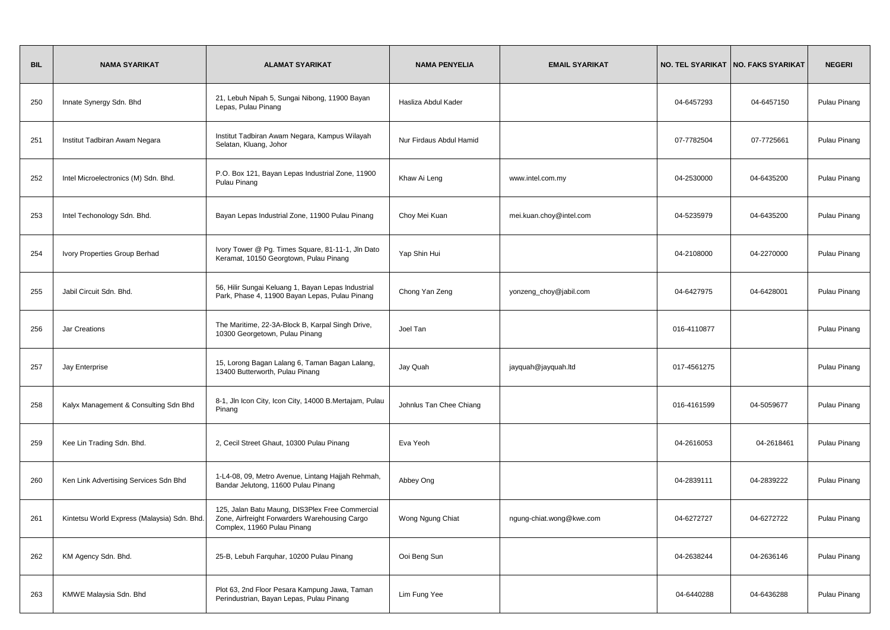| <b>BIL</b> | <b>NAMA SYARIKAT</b>                        | <b>ALAMAT SYARIKAT</b>                                                                                                          | <b>NAMA PENYELIA</b>    | <b>EMAIL SYARIKAT</b>    |             | NO. TEL SYARIKAT   NO. FAKS SYARIKAT | <b>NEGERI</b> |
|------------|---------------------------------------------|---------------------------------------------------------------------------------------------------------------------------------|-------------------------|--------------------------|-------------|--------------------------------------|---------------|
| 250        | Innate Synergy Sdn. Bhd                     | 21, Lebuh Nipah 5, Sungai Nibong, 11900 Bayan<br>Lepas, Pulau Pinang                                                            | Hasliza Abdul Kader     |                          | 04-6457293  | 04-6457150                           | Pulau Pinang  |
| 251        | Institut Tadbiran Awam Negara               | Institut Tadbiran Awam Negara, Kampus Wilayah<br>Selatan, Kluang, Johor                                                         | Nur Firdaus Abdul Hamid |                          | 07-7782504  | 07-7725661                           | Pulau Pinang  |
| 252        | Intel Microelectronics (M) Sdn. Bhd.        | P.O. Box 121, Bayan Lepas Industrial Zone, 11900<br>Pulau Pinang                                                                | Khaw Ai Leng            | www.intel.com.my         | 04-2530000  | 04-6435200                           | Pulau Pinang  |
| 253        | Intel Techonology Sdn. Bhd.                 | Bayan Lepas Industrial Zone, 11900 Pulau Pinang                                                                                 | Choy Mei Kuan           | mei.kuan.choy@intel.com  | 04-5235979  | 04-6435200                           | Pulau Pinang  |
| 254        | Ivory Properties Group Berhad               | Ivory Tower @ Pg. Times Square, 81-11-1, Jln Dato<br>Keramat, 10150 Georgtown, Pulau Pinang                                     | Yap Shin Hui            |                          | 04-2108000  | 04-2270000                           | Pulau Pinang  |
| 255        | Jabil Circuit Sdn. Bhd.                     | 56, Hilir Sungai Keluang 1, Bayan Lepas Industrial<br>Park, Phase 4, 11900 Bayan Lepas, Pulau Pinang                            | Chong Yan Zeng          | yonzeng_choy@jabil.com   | 04-6427975  | 04-6428001                           | Pulau Pinang  |
| 256        | Jar Creations                               | The Maritime, 22-3A-Block B, Karpal Singh Drive,<br>10300 Georgetown, Pulau Pinang                                              | Joel Tan                |                          | 016-4110877 |                                      | Pulau Pinang  |
| 257        | Jay Enterprise                              | 15, Lorong Bagan Lalang 6, Taman Bagan Lalang,<br>13400 Butterworth, Pulau Pinang                                               | Jay Quah                | jayquah@jayquah.ltd      | 017-4561275 |                                      | Pulau Pinang  |
| 258        | Kalyx Management & Consulting Sdn Bhd       | 8-1, Jln Icon City, Icon City, 14000 B.Mertajam, Pulau<br>Pinang                                                                | Johnlus Tan Chee Chiang |                          | 016-4161599 | 04-5059677                           | Pulau Pinang  |
| 259        | Kee Lin Trading Sdn. Bhd.                   | 2, Cecil Street Ghaut, 10300 Pulau Pinang                                                                                       | Eva Yeoh                |                          | 04-2616053  | 04-2618461                           | Pulau Pinang  |
| 260        | Ken Link Advertising Services Sdn Bhd       | 1-L4-08, 09, Metro Avenue, Lintang Hajjah Rehmah,<br>Bandar Jelutong, 11600 Pulau Pinang                                        | Abbey Ong               |                          | 04-2839111  | 04-2839222                           | Pulau Pinang  |
| 261        | Kintetsu World Express (Malaysia) Sdn. Bhd. | 125, Jalan Batu Maung, DIS3Plex Free Commercial<br>Zone, Airfreight Forwarders Warehousing Cargo<br>Complex, 11960 Pulau Pinang | Wong Ngung Chiat        | ngung-chiat.wong@kwe.com | 04-6272727  | 04-6272722                           | Pulau Pinang  |
| 262        | KM Agency Sdn. Bhd.                         | 25-B, Lebuh Farquhar, 10200 Pulau Pinang                                                                                        | Ooi Beng Sun            |                          | 04-2638244  | 04-2636146                           | Pulau Pinang  |
| 263        | KMWE Malaysia Sdn. Bhd                      | Plot 63, 2nd Floor Pesara Kampung Jawa, Taman<br>Perindustrian, Bayan Lepas, Pulau Pinang                                       | Lim Fung Yee            |                          | 04-6440288  | 04-6436288                           | Pulau Pinang  |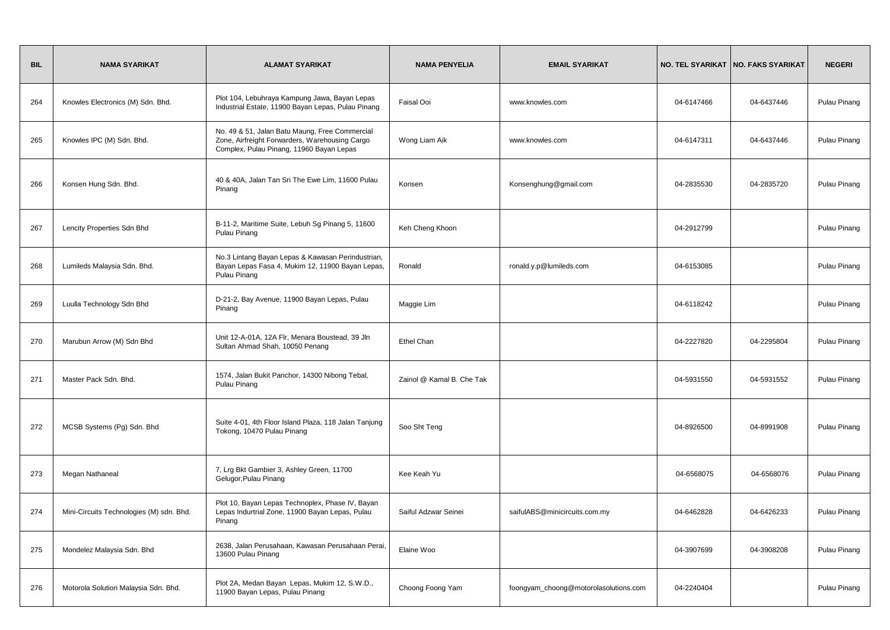| <b>BIL</b> | <b>NAMA SYARIKAT</b>                     | <b>ALAMAT SYARIKAT</b>                                                                                                                       | <b>NAMA PENYELIA</b>      | <b>EMAIL SYARIKAT</b>                 |            | NO. TEL SYARIKAT   NO. FAKS SYARIKAT | <b>NEGERI</b> |
|------------|------------------------------------------|----------------------------------------------------------------------------------------------------------------------------------------------|---------------------------|---------------------------------------|------------|--------------------------------------|---------------|
| 264        | Knowles Electronics (M) Sdn. Bhd.        | Plot 104, Lebuhraya Kampung Jawa, Bayan Lepas<br>Industrial Estate, 11900 Bayan Lepas, Pulau Pinang                                          | Faisal Ooi                | www.knowles.com                       | 04-6147466 | 04-6437446                           | Pulau Pinang  |
| 265        | Knowles IPC (M) Sdn. Bhd.                | No. 49 & 51, Jalan Batu Maung, Free Commercial<br>Zone, Airfreight Forwarders, Warehousing Cargo<br>Complex, Pulau Pinang, 11960 Bayan Lepas | Wong Liam Aik             | www.knowles.com                       | 04-6147311 | 04-6437446                           | Pulau Pinang  |
| 266        | Konsen Hung Sdn. Bhd.                    | 40 & 40A, Jalan Tan Sri The Ewe Lim, 11600 Pulau<br>Pinang                                                                                   | Konsen                    | Konsenghung@gmail.com                 | 04-2835530 | 04-2835720                           | Pulau Pinang  |
| 267        | Lencity Properties Sdn Bhd               | B-11-2, Maritime Suite, Lebuh Sg Pinang 5, 11600<br>Pulau Pinang                                                                             | Keh Cheng Khoon           |                                       | 04-2912799 |                                      | Pulau Pinang  |
| 268        | Lumileds Malaysia Sdn. Bhd.              | No.3 Lintang Bayan Lepas & Kawasan Perindustrian,<br>Bayan Lepas Fasa 4, Mukim 12, 11900 Bayan Lepas,<br>Pulau Pinang                        | Ronald                    | ronald.y.p@lumileds.com               | 04-6153085 |                                      | Pulau Pinang  |
| 269        | Luulla Technology Sdn Bhd                | D-21-2, Bay Avenue, 11900 Bayan Lepas, Pulau<br>Pinang                                                                                       | Maggie Lim                |                                       | 04-6118242 |                                      | Pulau Pinang  |
| 270        | Marubun Arrow (M) Sdn Bhd                | Unit 12-A-01A, 12A Flr, Menara Boustead, 39 Jln<br>Sultan Ahmad Shah, 10050 Penang                                                           | Ethel Chan                |                                       | 04-2227820 | 04-2295804                           | Pulau Pinang  |
| 271        | Master Pack Sdn. Bhd.                    | 1574, Jalan Bukit Panchor, 14300 Nibong Tebal,<br>Pulau Pinang                                                                               | Zainol @ Kamal B. Che Tak |                                       | 04-5931550 | 04-5931552                           | Pulau Pinang  |
| 272        | MCSB Systems (Pg) Sdn. Bhd               | Suite 4-01, 4th Floor Island Plaza, 118 Jalan Tanjung<br>Tokong, 10470 Pulau Pinang                                                          | Soo Sht Teng              |                                       | 04-8926500 | 04-8991908                           | Pulau Pinang  |
| 273        | Megan Nathaneal                          | 7, Lrg Bkt Gambier 3, Ashley Green, 11700<br>Gelugor, Pulau Pinang                                                                           | Kee Keah Yu               |                                       | 04-6568075 | 04-6568076                           | Pulau Pinang  |
| 274        | Mini-Circuits Technologies (M) sdn. Bhd. | Plot 10, Bayan Lepas Technoplex, Phase IV, Bayan<br>Lepas Indurtrial Zone, 11900 Bayan Lepas, Pulau<br>Pinang                                | Saiful Adzwar Seinei      | saifulABS@minicircuits.com.my         | 04-6462828 | 04-6426233                           | Pulau Pinang  |
| 275        | Mondelez Malaysia Sdn. Bhd               | 2638, Jalan Perusahaan, Kawasan Perusahaan Perai,<br>13600 Pulau Pinang                                                                      | Elaine Woo                |                                       | 04-3907699 | 04-3908208                           | Pulau Pinang  |
| 276        | Motorola Solution Malaysia Sdn. Bhd.     | Plot 2A, Medan Bayan Lepas, Mukim 12, S.W.D.,<br>11900 Bayan Lepas, Pulau Pinang                                                             | Choong Foong Yam          | foongyam_choong@motorolasolutions.com | 04-2240404 |                                      | Pulau Pinang  |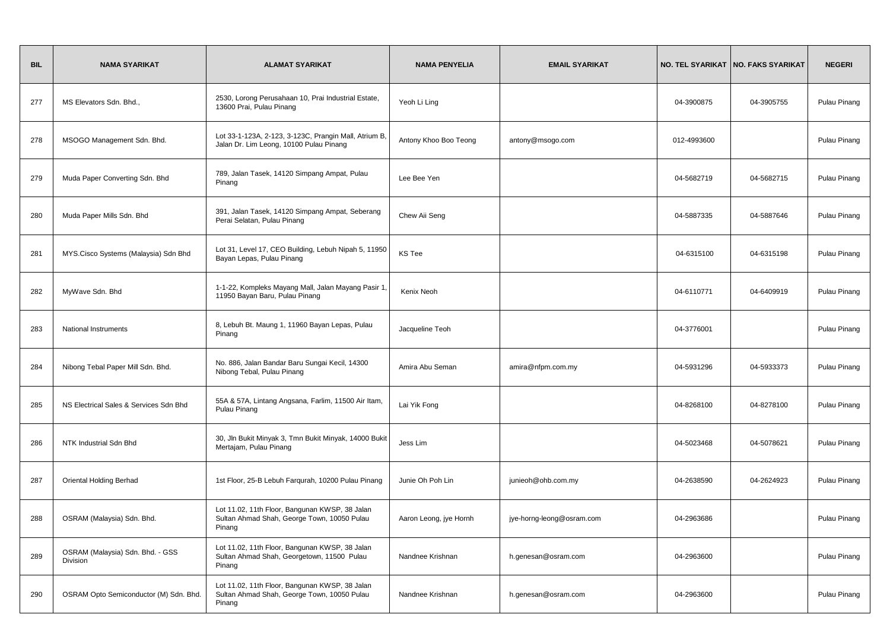| <b>BIL</b> | <b>NAMA SYARIKAT</b>                         | <b>ALAMAT SYARIKAT</b>                                                                                  | <b>NAMA PENYELIA</b>   | <b>EMAIL SYARIKAT</b>     |             | NO. TEL SYARIKAT   NO. FAKS SYARIKAT | <b>NEGERI</b> |
|------------|----------------------------------------------|---------------------------------------------------------------------------------------------------------|------------------------|---------------------------|-------------|--------------------------------------|---------------|
| 277        | MS Elevators Sdn. Bhd.,                      | 2530, Lorong Perusahaan 10, Prai Industrial Estate,<br>13600 Prai, Pulau Pinang                         | Yeoh Li Ling           |                           | 04-3900875  | 04-3905755                           | Pulau Pinang  |
| 278        | MSOGO Management Sdn. Bhd.                   | Lot 33-1-123A, 2-123, 3-123C, Prangin Mall, Atrium B,<br>Jalan Dr. Lim Leong, 10100 Pulau Pinang        | Antony Khoo Boo Teong  | antony@msogo.com          | 012-4993600 |                                      | Pulau Pinang  |
| 279        | Muda Paper Converting Sdn. Bhd               | 789, Jalan Tasek, 14120 Simpang Ampat, Pulau<br>Pinang                                                  | Lee Bee Yen            |                           | 04-5682719  | 04-5682715                           | Pulau Pinang  |
| 280        | Muda Paper Mills Sdn. Bhd                    | 391, Jalan Tasek, 14120 Simpang Ampat, Seberang<br>Perai Selatan, Pulau Pinang                          | Chew Aii Seng          |                           | 04-5887335  | 04-5887646                           | Pulau Pinang  |
| 281        | MYS.Cisco Systems (Malaysia) Sdn Bhd         | Lot 31, Level 17, CEO Building, Lebuh Nipah 5, 11950<br>Bayan Lepas, Pulau Pinang                       | KS Tee                 |                           | 04-6315100  | 04-6315198                           | Pulau Pinang  |
| 282        | MyWave Sdn. Bhd                              | 1-1-22, Kompleks Mayang Mall, Jalan Mayang Pasir 1,<br>11950 Bayan Baru, Pulau Pinang                   | Kenix Neoh             |                           | 04-6110771  | 04-6409919                           | Pulau Pinang  |
| 283        | <b>National Instruments</b>                  | 8, Lebuh Bt. Maung 1, 11960 Bayan Lepas, Pulau<br>Pinang                                                | Jacqueline Teoh        |                           | 04-3776001  |                                      | Pulau Pinang  |
| 284        | Nibong Tebal Paper Mill Sdn. Bhd.            | No. 886, Jalan Bandar Baru Sungai Kecil, 14300<br>Nibong Tebal, Pulau Pinang                            | Amira Abu Seman        | amira@nfpm.com.my         | 04-5931296  | 04-5933373                           | Pulau Pinang  |
| 285        | NS Electrical Sales & Services Sdn Bhd       | 55A & 57A, Lintang Angsana, Farlim, 11500 Air Itam,<br>Pulau Pinang                                     | Lai Yik Fong           |                           | 04-8268100  | 04-8278100                           | Pulau Pinang  |
| 286        | NTK Industrial Sdn Bhd                       | 30, Jln Bukit Minyak 3, Tmn Bukit Minyak, 14000 Bukit<br>Mertajam, Pulau Pinang                         | Jess Lim               |                           | 04-5023468  | 04-5078621                           | Pulau Pinang  |
| 287        | <b>Oriental Holding Berhad</b>               | 1st Floor, 25-B Lebuh Fargurah, 10200 Pulau Pinang                                                      | Junie Oh Poh Lin       | junieoh@ohb.com.my        | 04-2638590  | 04-2624923                           | Pulau Pinang  |
| 288        | OSRAM (Malaysia) Sdn. Bhd.                   | Lot 11.02, 11th Floor, Bangunan KWSP, 38 Jalan<br>Sultan Ahmad Shah, George Town, 10050 Pulau<br>Pinang | Aaron Leong, jye Hornh | jye-horng-leong@osram.com | 04-2963686  |                                      | Pulau Pinang  |
| 289        | OSRAM (Malaysia) Sdn. Bhd. - GSS<br>Division | Lot 11.02, 11th Floor, Bangunan KWSP, 38 Jalan<br>Sultan Ahmad Shah, Georgetown, 11500 Pulau<br>Pinang  | Nandnee Krishnan       | h.genesan@osram.com       | 04-2963600  |                                      | Pulau Pinang  |
| 290        | OSRAM Opto Semiconductor (M) Sdn. Bhd.       | Lot 11.02, 11th Floor, Bangunan KWSP, 38 Jalan<br>Sultan Ahmad Shah, George Town, 10050 Pulau<br>Pinang | Nandnee Krishnan       | h.genesan@osram.com       | 04-2963600  |                                      | Pulau Pinang  |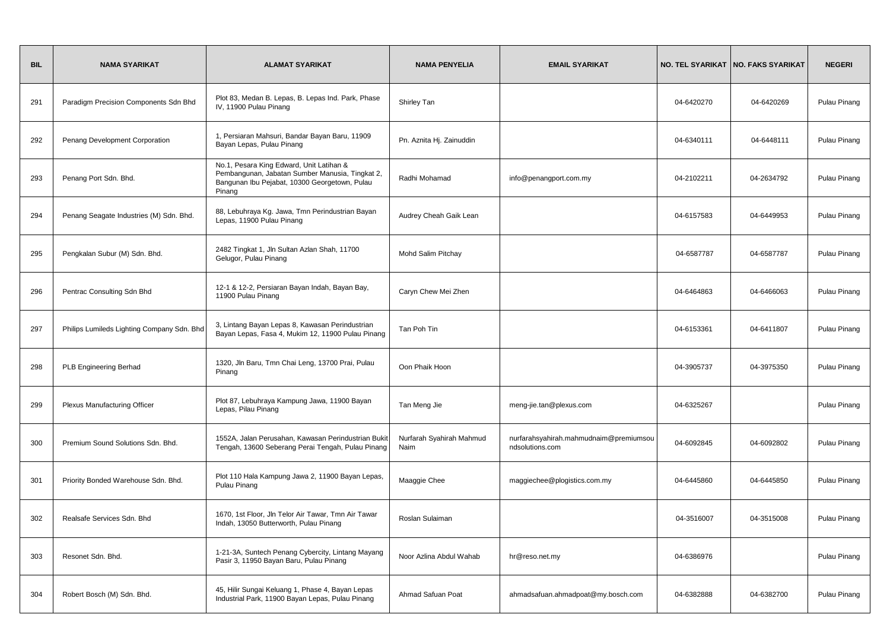| <b>BIL</b> | <b>NAMA SYARIKAT</b>                       | <b>ALAMAT SYARIKAT</b>                                                                                                                                 | <b>NAMA PENYELIA</b>             | <b>EMAIL SYARIKAT</b>                                     |            | NO. TEL SYARIKAT   NO. FAKS SYARIKAT | <b>NEGERI</b> |
|------------|--------------------------------------------|--------------------------------------------------------------------------------------------------------------------------------------------------------|----------------------------------|-----------------------------------------------------------|------------|--------------------------------------|---------------|
| 291        | Paradigm Precision Components Sdn Bhd      | Plot 83, Medan B. Lepas, B. Lepas Ind. Park, Phase<br>IV, 11900 Pulau Pinang                                                                           | Shirley Tan                      |                                                           | 04-6420270 | 04-6420269                           | Pulau Pinang  |
| 292        | Penang Development Corporation             | 1, Persiaran Mahsuri, Bandar Bayan Baru, 11909<br>Bayan Lepas, Pulau Pinang                                                                            | Pn. Aznita Hj. Zainuddin         |                                                           | 04-6340111 | 04-6448111                           | Pulau Pinang  |
| 293        | Penang Port Sdn. Bhd.                      | No.1, Pesara King Edward, Unit Latihan &<br>Pembangunan, Jabatan Sumber Manusia, Tingkat 2,<br>Bangunan Ibu Pejabat, 10300 Georgetown, Pulau<br>Pinang | Radhi Mohamad                    | info@penangport.com.my                                    | 04-2102211 | 04-2634792                           | Pulau Pinang  |
| 294        | Penang Seagate Industries (M) Sdn. Bhd.    | 88, Lebuhraya Kg. Jawa, Tmn Perindustrian Bayan<br>Lepas, 11900 Pulau Pinang                                                                           | Audrey Cheah Gaik Lean           |                                                           | 04-6157583 | 04-6449953                           | Pulau Pinang  |
| 295        | Pengkalan Subur (M) Sdn. Bhd.              | 2482 Tingkat 1, Jln Sultan Azlan Shah, 11700<br>Gelugor, Pulau Pinang                                                                                  | Mohd Salim Pitchay               |                                                           | 04-6587787 | 04-6587787                           | Pulau Pinang  |
| 296        | Pentrac Consulting Sdn Bhd                 | 12-1 & 12-2, Persiaran Bayan Indah, Bayan Bay,<br>11900 Pulau Pinang                                                                                   | Caryn Chew Mei Zhen              |                                                           | 04-6464863 | 04-6466063                           | Pulau Pinang  |
| 297        | Philips Lumileds Lighting Company Sdn. Bhd | 3, Lintang Bayan Lepas 8, Kawasan Perindustrian<br>Bayan Lepas, Fasa 4, Mukim 12, 11900 Pulau Pinang                                                   | Tan Poh Tin                      |                                                           | 04-6153361 | 04-6411807                           | Pulau Pinang  |
| 298        | PLB Engineering Berhad                     | 1320, Jln Baru, Tmn Chai Leng, 13700 Prai, Pulau<br>Pinang                                                                                             | Oon Phaik Hoon                   |                                                           | 04-3905737 | 04-3975350                           | Pulau Pinang  |
| 299        | <b>Plexus Manufacturing Officer</b>        | Plot 87, Lebuhraya Kampung Jawa, 11900 Bayan<br>Lepas, Pilau Pinang                                                                                    | Tan Meng Jie                     | meng-jie.tan@plexus.com                                   | 04-6325267 |                                      | Pulau Pinang  |
| 300        | Premium Sound Solutions Sdn. Bhd.          | 1552A, Jalan Perusahan, Kawasan Perindustrian Bukit<br>Tengah, 13600 Seberang Perai Tengah, Pulau Pinang                                               | Nurfarah Syahirah Mahmud<br>Naim | nurfarahsyahirah.mahmudnaim@premiumsou<br>ndsolutions.com | 04-6092845 | 04-6092802                           | Pulau Pinang  |
| 301        | Priority Bonded Warehouse Sdn. Bhd.        | Plot 110 Hala Kampung Jawa 2, 11900 Bayan Lepas,<br>Pulau Pinang                                                                                       | Maaggie Chee                     | maggiechee@plogistics.com.my                              | 04-6445860 | 04-6445850                           | Pulau Pinang  |
| 302        | Realsafe Services Sdn. Bhd                 | 1670, 1st Floor, Jln Telor Air Tawar, Tmn Air Tawar<br>Indah, 13050 Butterworth, Pulau Pinang                                                          | Roslan Sulaiman                  |                                                           | 04-3516007 | 04-3515008                           | Pulau Pinang  |
| 303        | Resonet Sdn. Bhd.                          | 1-21-3A, Suntech Penang Cybercity, Lintang Mayang<br>Pasir 3, 11950 Bayan Baru, Pulau Pinang                                                           | Noor Azlina Abdul Wahab          | hr@reso.net.my                                            | 04-6386976 |                                      | Pulau Pinang  |
| 304        | Robert Bosch (M) Sdn. Bhd.                 | 45, Hilir Sungai Keluang 1, Phase 4, Bayan Lepas<br>Industrial Park, 11900 Bayan Lepas, Pulau Pinang                                                   | Ahmad Safuan Poat                | ahmadsafuan.ahmadpoat@my.bosch.com                        | 04-6382888 | 04-6382700                           | Pulau Pinang  |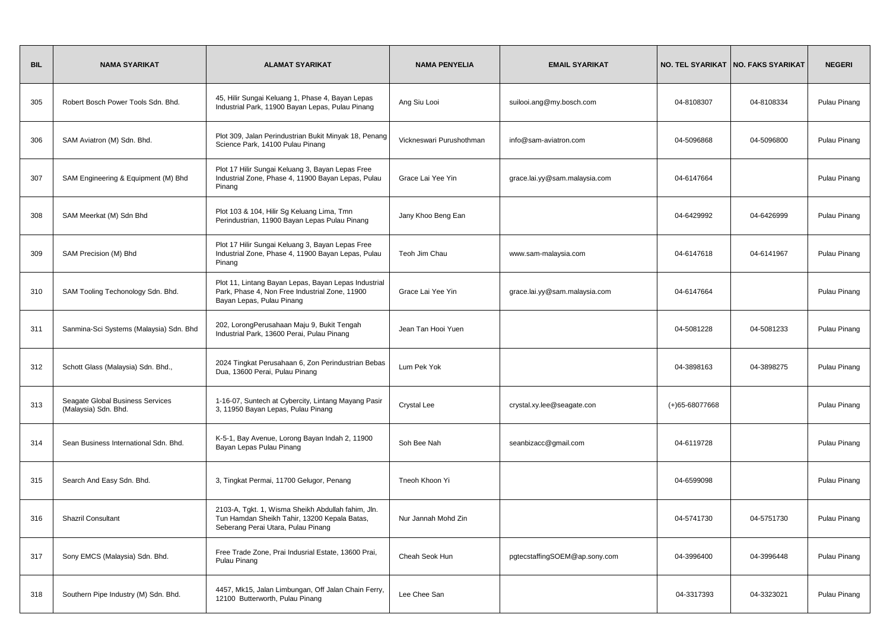| <b>BIL</b> | <b>NAMA SYARIKAT</b>                                     | <b>ALAMAT SYARIKAT</b>                                                                                                                   | <b>NAMA PENYELIA</b>     | <b>EMAIL SYARIKAT</b>         |                | NO. TEL SYARIKAT   NO. FAKS SYARIKAT | <b>NEGERI</b> |
|------------|----------------------------------------------------------|------------------------------------------------------------------------------------------------------------------------------------------|--------------------------|-------------------------------|----------------|--------------------------------------|---------------|
| 305        | Robert Bosch Power Tools Sdn. Bhd.                       | 45, Hilir Sungai Keluang 1, Phase 4, Bayan Lepas<br>Industrial Park, 11900 Bayan Lepas, Pulau Pinang                                     | Ang Siu Looi             | suilooi.ang@my.bosch.com      | 04-8108307     | 04-8108334                           | Pulau Pinang  |
| 306        | SAM Aviatron (M) Sdn. Bhd.                               | Plot 309, Jalan Perindustrian Bukit Minyak 18, Penang<br>Science Park, 14100 Pulau Pinang                                                | Vickneswari Purushothman | info@sam-aviatron.com         | 04-5096868     | 04-5096800                           | Pulau Pinang  |
| 307        | SAM Engineering & Equipment (M) Bhd                      | Plot 17 Hilir Sungai Keluang 3, Bayan Lepas Free<br>Industrial Zone, Phase 4, 11900 Bayan Lepas, Pulau<br>Pinang                         | Grace Lai Yee Yin        | grace.lai.yy@sam.malaysia.com | 04-6147664     |                                      | Pulau Pinang  |
| 308        | SAM Meerkat (M) Sdn Bhd                                  | Plot 103 & 104, Hilir Sg Keluang Lima, Tmn<br>Perindustrian, 11900 Bayan Lepas Pulau Pinang                                              | Jany Khoo Beng Ean       |                               | 04-6429992     | 04-6426999                           | Pulau Pinang  |
| 309        | SAM Precision (M) Bhd                                    | Plot 17 Hilir Sungai Keluang 3, Bayan Lepas Free<br>Industrial Zone, Phase 4, 11900 Bayan Lepas, Pulau<br>Pinang                         | Teoh Jim Chau            | www.sam-malaysia.com          | 04-6147618     | 04-6141967                           | Pulau Pinang  |
| 310        | SAM Tooling Techonology Sdn. Bhd.                        | Plot 11, Lintang Bayan Lepas, Bayan Lepas Industrial<br>Park, Phase 4, Non Free Industrial Zone, 11900<br>Bayan Lepas, Pulau Pinang      | Grace Lai Yee Yin        | grace.lai.yy@sam.malaysia.com | 04-6147664     |                                      | Pulau Pinang  |
| 311        | Sanmina-Sci Systems (Malaysia) Sdn. Bhd                  | 202, LorongPerusahaan Maju 9, Bukit Tengah<br>Industrial Park, 13600 Perai, Pulau Pinang                                                 | Jean Tan Hooi Yuen       |                               | 04-5081228     | 04-5081233                           | Pulau Pinang  |
| 312        | Schott Glass (Malaysia) Sdn. Bhd.,                       | 2024 Tingkat Perusahaan 6, Zon Perindustrian Bebas<br>Dua, 13600 Perai, Pulau Pinang                                                     | Lum Pek Yok              |                               | 04-3898163     | 04-3898275                           | Pulau Pinang  |
| 313        | Seagate Global Business Services<br>(Malaysia) Sdn. Bhd. | 1-16-07, Suntech at Cybercity, Lintang Mayang Pasir<br>3, 11950 Bayan Lepas, Pulau Pinang                                                | <b>Crystal Lee</b>       | crystal.xy.lee@seagate.con    | (+)65-68077668 |                                      | Pulau Pinang  |
| 314        | Sean Business International Sdn. Bhd.                    | K-5-1, Bay Avenue, Lorong Bayan Indah 2, 11900<br>Bayan Lepas Pulau Pinang                                                               | Soh Bee Nah              | seanbizacc@gmail.com          | 04-6119728     |                                      | Pulau Pinang  |
| 315        | Search And Easy Sdn. Bhd.                                | 3, Tingkat Permai, 11700 Gelugor, Penang                                                                                                 | Tneoh Khoon Yi           |                               | 04-6599098     |                                      | Pulau Pinang  |
| 316        | <b>Shazril Consultant</b>                                | 2103-A, Tgkt. 1, Wisma Sheikh Abdullah fahim, Jln.<br>Tun Hamdan Sheikh Tahir, 13200 Kepala Batas,<br>Seberang Perai Utara, Pulau Pinang | Nur Jannah Mohd Zin      |                               | 04-5741730     | 04-5751730                           | Pulau Pinang  |
| 317        | Sony EMCS (Malaysia) Sdn. Bhd.                           | Free Trade Zone, Prai Indusrial Estate, 13600 Prai,<br>Pulau Pinang                                                                      | Cheah Seok Hun           | pgtecstaffingSOEM@ap.sony.com | 04-3996400     | 04-3996448                           | Pulau Pinang  |
| 318        | Southern Pipe Industry (M) Sdn. Bhd.                     | 4457, Mk15, Jalan Limbungan, Off Jalan Chain Ferry,<br>12100 Butterworth, Pulau Pinang                                                   | Lee Chee San             |                               | 04-3317393     | 04-3323021                           | Pulau Pinang  |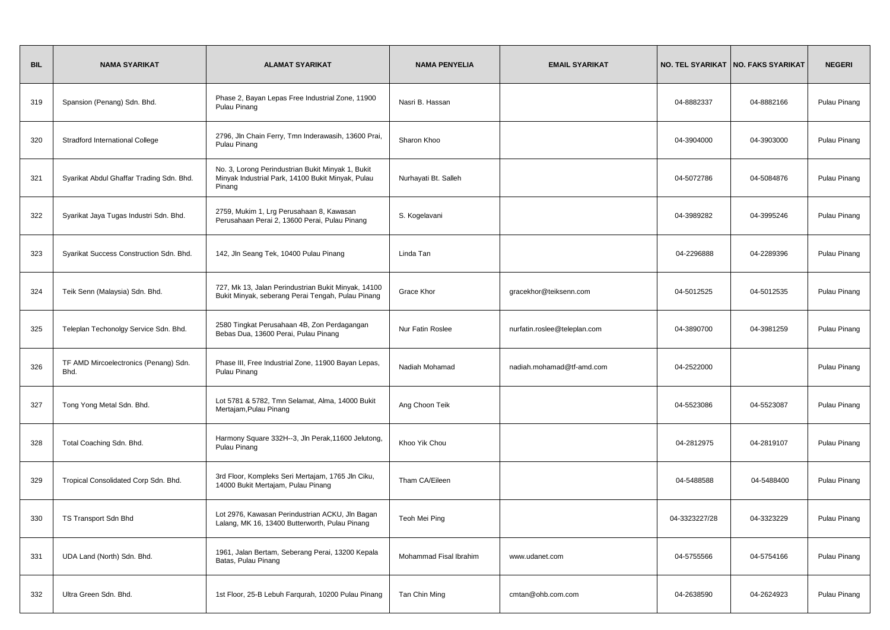| <b>BIL</b> | <b>NAMA SYARIKAT</b>                          | <b>ALAMAT SYARIKAT</b>                                                                                           | <b>NAMA PENYELIA</b>   | <b>EMAIL SYARIKAT</b>        |               | NO. TEL SYARIKAT   NO. FAKS SYARIKAT | <b>NEGERI</b> |
|------------|-----------------------------------------------|------------------------------------------------------------------------------------------------------------------|------------------------|------------------------------|---------------|--------------------------------------|---------------|
| 319        | Spansion (Penang) Sdn. Bhd.                   | Phase 2, Bayan Lepas Free Industrial Zone, 11900<br>Pulau Pinang                                                 | Nasri B. Hassan        |                              | 04-8882337    | 04-8882166                           | Pulau Pinang  |
| 320        | <b>Stradford International College</b>        | 2796, Jln Chain Ferry, Tmn Inderawasih, 13600 Prai,<br>Pulau Pinang                                              | Sharon Khoo            |                              | 04-3904000    | 04-3903000                           | Pulau Pinang  |
| 321        | Syarikat Abdul Ghaffar Trading Sdn. Bhd.      | No. 3, Lorong Perindustrian Bukit Minyak 1, Bukit<br>Minyak Industrial Park, 14100 Bukit Minyak, Pulau<br>Pinang | Nurhayati Bt. Salleh   |                              | 04-5072786    | 04-5084876                           | Pulau Pinang  |
| 322        | Syarikat Jaya Tugas Industri Sdn. Bhd.        | 2759, Mukim 1, Lrg Perusahaan 8, Kawasan<br>Perusahaan Perai 2, 13600 Perai, Pulau Pinang                        | S. Kogelavani          |                              | 04-3989282    | 04-3995246                           | Pulau Pinang  |
| 323        | Syarikat Success Construction Sdn. Bhd.       | 142, Jln Seang Tek, 10400 Pulau Pinang                                                                           | Linda Tan              |                              | 04-2296888    | 04-2289396                           | Pulau Pinang  |
| 324        | Teik Senn (Malaysia) Sdn. Bhd.                | 727, Mk 13, Jalan Perindustrian Bukit Minyak, 14100<br>Bukit Minyak, seberang Perai Tengah, Pulau Pinang         | Grace Khor             | gracekhor@teiksenn.com       | 04-5012525    | 04-5012535                           | Pulau Pinang  |
| 325        | Teleplan Techonolgy Service Sdn. Bhd.         | 2580 Tingkat Perusahaan 4B, Zon Perdagangan<br>Bebas Dua, 13600 Perai, Pulau Pinang                              | Nur Fatin Roslee       | nurfatin.roslee@teleplan.com | 04-3890700    | 04-3981259                           | Pulau Pinang  |
| 326        | TF AMD Mircoelectronics (Penang) Sdn.<br>Bhd. | Phase III, Free Industrial Zone, 11900 Bayan Lepas,<br>Pulau Pinang                                              | Nadiah Mohamad         | nadiah.mohamad@tf-amd.com    | 04-2522000    |                                      | Pulau Pinang  |
| 327        | Tong Yong Metal Sdn. Bhd.                     | Lot 5781 & 5782, Tmn Selamat, Alma, 14000 Bukit<br>Mertajam, Pulau Pinang                                        | Ang Choon Teik         |                              | 04-5523086    | 04-5523087                           | Pulau Pinang  |
| 328        | Total Coaching Sdn. Bhd.                      | Harmony Square 332H--3, Jln Perak, 11600 Jelutong,<br>Pulau Pinang                                               | Khoo Yik Chou          |                              | 04-2812975    | 04-2819107                           | Pulau Pinang  |
| 329        | Tropical Consolidated Corp Sdn. Bhd.          | 3rd Floor, Kompleks Seri Mertajam, 1765 Jln Ciku,<br>14000 Bukit Mertajam, Pulau Pinang                          | Tham CA/Eileen         |                              | 04-5488588    | 04-5488400                           | Pulau Pinang  |
| 330        | TS Transport Sdn Bhd                          | Lot 2976, Kawasan Perindustrian ACKU, Jln Bagan<br>Lalang, MK 16, 13400 Butterworth, Pulau Pinang                | Teoh Mei Ping          |                              | 04-3323227/28 | 04-3323229                           | Pulau Pinang  |
| 331        | UDA Land (North) Sdn. Bhd.                    | 1961, Jalan Bertam, Seberang Perai, 13200 Kepala<br>Batas, Pulau Pinang                                          | Mohammad Fisal Ibrahim | www.udanet.com               | 04-5755566    | 04-5754166                           | Pulau Pinang  |
| 332        | Ultra Green Sdn. Bhd.                         | 1st Floor, 25-B Lebuh Farqurah, 10200 Pulau Pinang                                                               | Tan Chin Ming          | cmtan@ohb.com.com            | 04-2638590    | 04-2624923                           | Pulau Pinang  |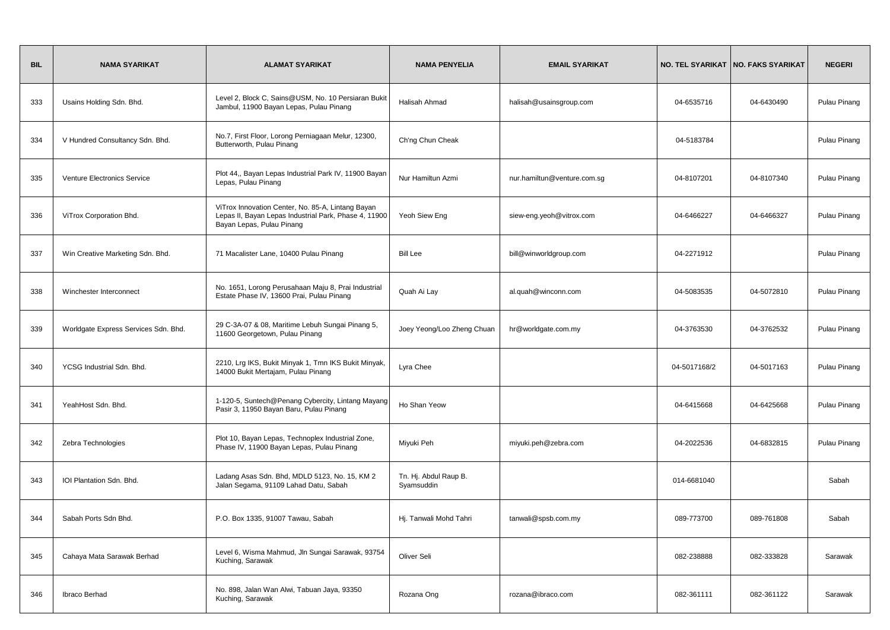| <b>BIL</b> | <b>NAMA SYARIKAT</b>                 | <b>ALAMAT SYARIKAT</b>                                                                                                                  | <b>NAMA PENYELIA</b>                | <b>EMAIL SYARIKAT</b>       |              | NO. TEL SYARIKAT   NO. FAKS SYARIKAT | <b>NEGERI</b> |
|------------|--------------------------------------|-----------------------------------------------------------------------------------------------------------------------------------------|-------------------------------------|-----------------------------|--------------|--------------------------------------|---------------|
| 333        | Usains Holding Sdn. Bhd.             | Level 2, Block C, Sains@USM, No. 10 Persiaran Bukit<br>Jambul, 11900 Bayan Lepas, Pulau Pinang                                          | Halisah Ahmad                       | halisah@usainsgroup.com     | 04-6535716   | 04-6430490                           | Pulau Pinang  |
| 334        | V Hundred Consultancy Sdn. Bhd.      | No.7, First Floor, Lorong Perniagaan Melur, 12300,<br>Butterworth, Pulau Pinang                                                         | Ch'ng Chun Cheak                    |                             | 04-5183784   |                                      | Pulau Pinang  |
| 335        | Venture Electronics Service          | Plot 44,, Bayan Lepas Industrial Park IV, 11900 Bayan<br>Lepas, Pulau Pinang                                                            | Nur Hamiltun Azmi                   | nur.hamiltun@venture.com.sg | 04-8107201   | 04-8107340                           | Pulau Pinang  |
| 336        | ViTrox Corporation Bhd.              | ViTrox Innovation Center, No. 85-A, Lintang Bayan<br>Lepas II, Bayan Lepas Industrial Park, Phase 4, 11900<br>Bayan Lepas, Pulau Pinang | Yeoh Siew Eng                       | siew-eng.yeoh@vitrox.com    | 04-6466227   | 04-6466327                           | Pulau Pinang  |
| 337        | Win Creative Marketing Sdn. Bhd.     | 71 Macalister Lane, 10400 Pulau Pinang                                                                                                  | <b>Bill Lee</b>                     | bill@winworldgroup.com      | 04-2271912   |                                      | Pulau Pinang  |
| 338        | Winchester Interconnect              | No. 1651, Lorong Perusahaan Maju 8, Prai Industrial<br>Estate Phase IV, 13600 Prai, Pulau Pinang                                        | Quah Ai Lay                         | al.quah@winconn.com         | 04-5083535   | 04-5072810                           | Pulau Pinang  |
| 339        | Worldgate Express Services Sdn. Bhd. | 29 C-3A-07 & 08, Maritime Lebuh Sungai Pinang 5,<br>11600 Georgetown, Pulau Pinang                                                      | Joey Yeong/Loo Zheng Chuan          | hr@worldgate.com.my         | 04-3763530   | 04-3762532                           | Pulau Pinang  |
| 340        | YCSG Industrial Sdn. Bhd.            | 2210, Lrg IKS, Bukit Minyak 1, Tmn IKS Bukit Minyak,<br>14000 Bukit Mertajam, Pulau Pinang                                              | Lyra Chee                           |                             | 04-5017168/2 | 04-5017163                           | Pulau Pinang  |
| 341        | YeahHost Sdn. Bhd.                   | 1-120-5, Suntech@Penang Cybercity, Lintang Mayang<br>Pasir 3, 11950 Bayan Baru, Pulau Pinang                                            | Ho Shan Yeow                        |                             | 04-6415668   | 04-6425668                           | Pulau Pinang  |
| 342        | Zebra Technologies                   | Plot 10, Bayan Lepas, Technoplex Industrial Zone,<br>Phase IV, 11900 Bayan Lepas, Pulau Pinang                                          | Miyuki Peh                          | miyuki.peh@zebra.com        | 04-2022536   | 04-6832815                           | Pulau Pinang  |
| 343        | IOI Plantation Sdn. Bhd.             | Ladang Asas Sdn. Bhd, MDLD 5123, No. 15, KM 2<br>Jalan Segama, 91109 Lahad Datu, Sabah                                                  | Tn. Hj. Abdul Raup B.<br>Syamsuddin |                             | 014-6681040  |                                      | Sabah         |
| 344        | Sabah Ports Sdn Bhd.                 | P.O. Box 1335, 91007 Tawau, Sabah                                                                                                       | Hj. Tanwali Mohd Tahri              | tanwali@spsb.com.my         | 089-773700   | 089-761808                           | Sabah         |
| 345        | Cahaya Mata Sarawak Berhad           | Level 6, Wisma Mahmud, Jln Sungai Sarawak, 93754<br>Kuching, Sarawak                                                                    | Oliver Seli                         |                             | 082-238888   | 082-333828                           | Sarawak       |
| 346        | Ibraco Berhad                        | No. 898, Jalan Wan Alwi, Tabuan Jaya, 93350<br>Kuching, Sarawak                                                                         | Rozana Ong                          | rozana@ibraco.com           | 082-361111   | 082-361122                           | Sarawak       |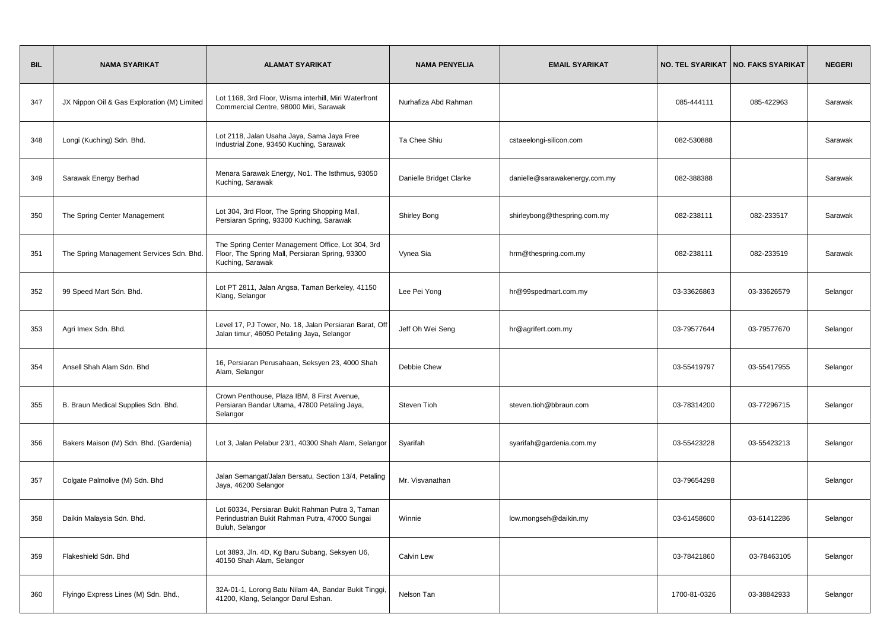| <b>BIL</b> | <b>NAMA SYARIKAT</b>                        | <b>ALAMAT SYARIKAT</b>                                                                                                   | <b>NAMA PENYELIA</b>    | <b>EMAIL SYARIKAT</b>         |              | NO. TEL SYARIKAT   NO. FAKS SYARIKAT | <b>NEGERI</b> |
|------------|---------------------------------------------|--------------------------------------------------------------------------------------------------------------------------|-------------------------|-------------------------------|--------------|--------------------------------------|---------------|
| 347        | JX Nippon Oil & Gas Exploration (M) Limited | Lot 1168, 3rd Floor, Wisma interhill, Miri Waterfront<br>Commercial Centre, 98000 Miri, Sarawak                          | Nurhafiza Abd Rahman    |                               | 085-444111   | 085-422963                           | Sarawak       |
| 348        | Longi (Kuching) Sdn. Bhd.                   | Lot 2118, Jalan Usaha Jaya, Sama Jaya Free<br>Industrial Zone, 93450 Kuching, Sarawak                                    | Ta Chee Shiu            | cstaeelongi-silicon.com       | 082-530888   |                                      | Sarawak       |
| 349        | Sarawak Energy Berhad                       | Menara Sarawak Energy, No1. The Isthmus, 93050<br>Kuching, Sarawak                                                       | Danielle Bridget Clarke | danielle@sarawakenergy.com.my | 082-388388   |                                      | Sarawak       |
| 350        | The Spring Center Management                | Lot 304, 3rd Floor, The Spring Shopping Mall,<br>Persiaran Spring, 93300 Kuching, Sarawak                                | Shirley Bong            | shirleybong@thespring.com.my  | 082-238111   | 082-233517                           | Sarawak       |
| 351        | The Spring Management Services Sdn. Bhd.    | The Spring Center Management Office, Lot 304, 3rd<br>Floor, The Spring Mall, Persiaran Spring, 93300<br>Kuching, Sarawak | Vynea Sia               | hrm@thespring.com.my          | 082-238111   | 082-233519                           | Sarawak       |
| 352        | 99 Speed Mart Sdn. Bhd.                     | Lot PT 2811, Jalan Angsa, Taman Berkeley, 41150<br>Klang, Selangor                                                       | Lee Pei Yong            | hr@99spedmart.com.my          | 03-33626863  | 03-33626579                          | Selangor      |
| 353        | Agri Imex Sdn. Bhd.                         | Level 17, PJ Tower, No. 18, Jalan Persiaran Barat, Off<br>Jalan timur, 46050 Petaling Jaya, Selangor                     | Jeff Oh Wei Seng        | hr@agrifert.com.my            | 03-79577644  | 03-79577670                          | Selangor      |
| 354        | Ansell Shah Alam Sdn. Bhd                   | 16, Persiaran Perusahaan, Seksyen 23, 4000 Shah<br>Alam, Selangor                                                        | Debbie Chew             |                               | 03-55419797  | 03-55417955                          | Selangor      |
| 355        | B. Braun Medical Supplies Sdn. Bhd.         | Crown Penthouse, Plaza IBM, 8 First Avenue,<br>Persiaran Bandar Utama, 47800 Petaling Jaya,<br>Selangor                  | <b>Steven Tioh</b>      | steven.tioh@bbraun.com        | 03-78314200  | 03-77296715                          | Selangor      |
| 356        | Bakers Maison (M) Sdn. Bhd. (Gardenia)      | Lot 3, Jalan Pelabur 23/1, 40300 Shah Alam, Selangor                                                                     | Syarifah                | syarifah@gardenia.com.my      | 03-55423228  | 03-55423213                          | Selangor      |
| 357        | Colgate Palmolive (M) Sdn. Bhd              | Jalan Semangat/Jalan Bersatu, Section 13/4, Petaling<br>Jaya, 46200 Selangor                                             | Mr. Visvanathan         |                               | 03-79654298  |                                      | Selangor      |
| 358        | Daikin Malaysia Sdn. Bhd.                   | Lot 60334, Persiaran Bukit Rahman Putra 3, Taman<br>Perindustrian Bukit Rahman Putra, 47000 Sungai<br>Buluh, Selangor    | Winnie                  | low.mongseh@daikin.my         | 03-61458600  | 03-61412286                          | Selangor      |
| 359        | Flakeshield Sdn. Bhd                        | Lot 3893, Jln. 4D, Kg Baru Subang, Seksyen U6,<br>40150 Shah Alam, Selangor                                              | Calvin Lew              |                               | 03-78421860  | 03-78463105                          | Selangor      |
| 360        | Flyingo Express Lines (M) Sdn. Bhd.,        | 32A-01-1, Lorong Batu Nilam 4A, Bandar Bukit Tinggi,<br>41200, Klang, Selangor Darul Eshan.                              | Nelson Tan              |                               | 1700-81-0326 | 03-38842933                          | Selangor      |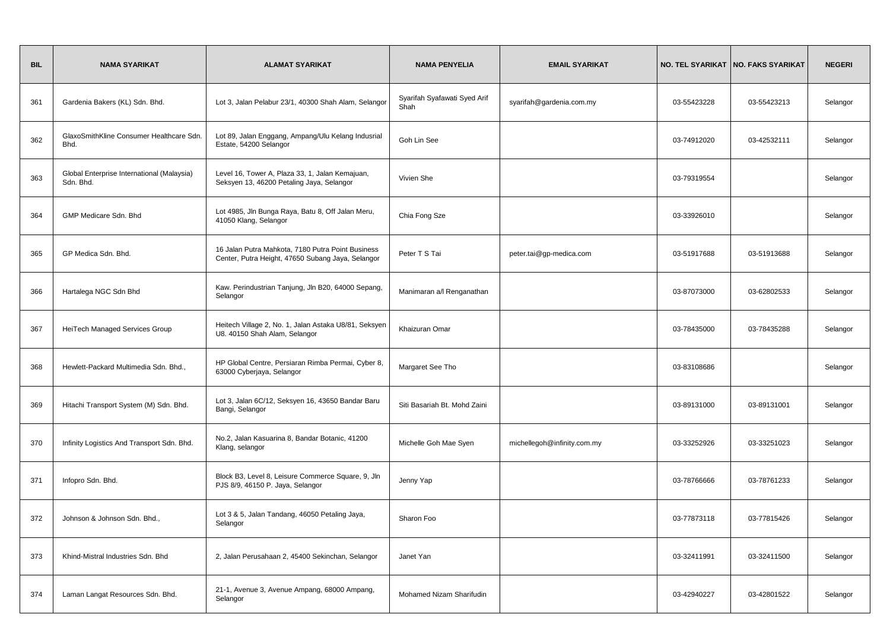| <b>BIL</b> | <b>NAMA SYARIKAT</b>                                    | <b>ALAMAT SYARIKAT</b>                                                                                 | <b>NAMA PENYELIA</b>                 | <b>EMAIL SYARIKAT</b>       |             | NO. TEL SYARIKAT   NO. FAKS SYARIKAT | <b>NEGERI</b> |
|------------|---------------------------------------------------------|--------------------------------------------------------------------------------------------------------|--------------------------------------|-----------------------------|-------------|--------------------------------------|---------------|
| 361        | Gardenia Bakers (KL) Sdn. Bhd.                          | Lot 3, Jalan Pelabur 23/1, 40300 Shah Alam, Selangor                                                   | Syarifah Syafawati Syed Arif<br>Shah | syarifah@gardenia.com.my    | 03-55423228 | 03-55423213                          | Selangor      |
| 362        | GlaxoSmithKline Consumer Healthcare Sdn.<br>Bhd.        | Lot 89, Jalan Enggang, Ampang/Ulu Kelang Indusrial<br>Estate, 54200 Selangor                           | Goh Lin See                          |                             | 03-74912020 | 03-42532111                          | Selangor      |
| 363        | Global Enterprise International (Malaysia)<br>Sdn. Bhd. | Level 16, Tower A, Plaza 33, 1, Jalan Kemajuan,<br>Seksyen 13, 46200 Petaling Jaya, Selangor           | Vivien She                           |                             | 03-79319554 |                                      | Selangor      |
| 364        | GMP Medicare Sdn. Bhd                                   | Lot 4985, Jln Bunga Raya, Batu 8, Off Jalan Meru,<br>41050 Klang, Selangor                             | Chia Fong Sze                        |                             | 03-33926010 |                                      | Selangor      |
| 365        | GP Medica Sdn. Bhd.                                     | 16 Jalan Putra Mahkota, 7180 Putra Point Business<br>Center, Putra Height, 47650 Subang Jaya, Selangor | Peter T S Tai                        | peter.tai@gp-medica.com     | 03-51917688 | 03-51913688                          | Selangor      |
| 366        | Hartalega NGC Sdn Bhd                                   | Kaw. Perindustrian Tanjung, Jln B20, 64000 Sepang,<br>Selangor                                         | Manimaran a/l Renganathan            |                             | 03-87073000 | 03-62802533                          | Selangor      |
| 367        | HeiTech Managed Services Group                          | Heitech Village 2, No. 1, Jalan Astaka U8/81, Seksyen<br>U8. 40150 Shah Alam, Selangor                 | Khaizuran Omar                       |                             | 03-78435000 | 03-78435288                          | Selangor      |
| 368        | Hewlett-Packard Multimedia Sdn. Bhd.,                   | HP Global Centre, Persiaran Rimba Permai, Cyber 8,<br>63000 Cyberjaya, Selangor                        | Margaret See Tho                     |                             | 03-83108686 |                                      | Selangor      |
| 369        | Hitachi Transport System (M) Sdn. Bhd.                  | Lot 3, Jalan 6C/12, Seksyen 16, 43650 Bandar Baru<br>Bangi, Selangor                                   | Siti Basariah Bt. Mohd Zaini         |                             | 03-89131000 | 03-89131001                          | Selangor      |
| 370        | Infinity Logistics And Transport Sdn. Bhd.              | No.2, Jalan Kasuarina 8, Bandar Botanic, 41200<br>Klang, selangor                                      | Michelle Goh Mae Syen                | michellegoh@infinity.com.my | 03-33252926 | 03-33251023                          | Selangor      |
| 371        | Infopro Sdn. Bhd.                                       | Block B3, Level 8, Leisure Commerce Square, 9, Jln<br>PJS 8/9, 46150 P. Jaya, Selangor                 | Jenny Yap                            |                             | 03-78766666 | 03-78761233                          | Selangor      |
| 372        | Johnson & Johnson Sdn. Bhd.,                            | Lot 3 & 5, Jalan Tandang, 46050 Petaling Jaya,<br>Selangor                                             | Sharon Foo                           |                             | 03-77873118 | 03-77815426                          | Selangor      |
| 373        | Khind-Mistral Industries Sdn. Bhd                       | 2, Jalan Perusahaan 2, 45400 Sekinchan, Selangor                                                       | Janet Yan                            |                             | 03-32411991 | 03-32411500                          | Selangor      |
| 374        | Laman Langat Resources Sdn. Bhd.                        | 21-1, Avenue 3, Avenue Ampang, 68000 Ampang,<br>Selangor                                               | Mohamed Nizam Sharifudin             |                             | 03-42940227 | 03-42801522                          | Selangor      |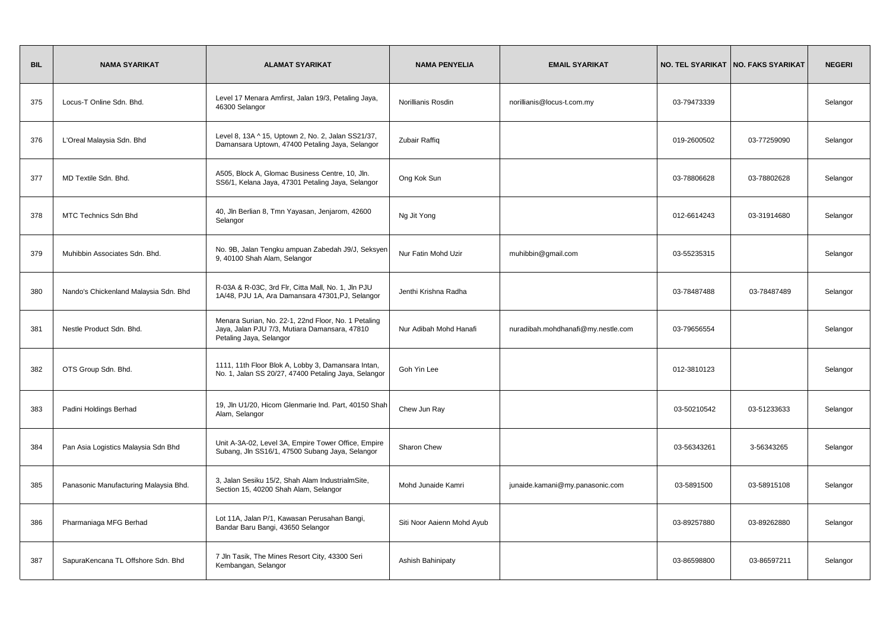| <b>BIL</b> | <b>NAMA SYARIKAT</b>                  | <b>ALAMAT SYARIKAT</b>                                                                                                          | <b>NAMA PENYELIA</b>       | <b>EMAIL SYARIKAT</b>              | <b>NO. TEL SYARIKAT</b> | NO. FAKS SYARIKAT | <b>NEGERI</b> |
|------------|---------------------------------------|---------------------------------------------------------------------------------------------------------------------------------|----------------------------|------------------------------------|-------------------------|-------------------|---------------|
| 375        | Locus-T Online Sdn. Bhd.              | Level 17 Menara Amfirst, Jalan 19/3, Petaling Jaya,<br>46300 Selangor                                                           | Norillianis Rosdin         | norillianis@locus-t.com.my         | 03-79473339             |                   | Selangor      |
| 376        | L'Oreal Malaysia Sdn. Bhd             | Level 8, 13A ^ 15, Uptown 2, No. 2, Jalan SS21/37,<br>Damansara Uptown, 47400 Petaling Jaya, Selangor                           | Zubair Raffiq              |                                    | 019-2600502             | 03-77259090       | Selangor      |
| 377        | MD Textile Sdn. Bhd.                  | A505, Block A, Glomac Business Centre, 10, Jln.<br>SS6/1, Kelana Jaya, 47301 Petaling Jaya, Selangor                            | Ong Kok Sun                |                                    | 03-78806628             | 03-78802628       | Selangor      |
| 378        | <b>MTC Technics Sdn Bhd</b>           | 40, Jln Berlian 8, Tmn Yayasan, Jenjarom, 42600<br>Selangor                                                                     | Ng Jit Yong                |                                    | 012-6614243             | 03-31914680       | Selangor      |
| 379        | Muhibbin Associates Sdn. Bhd.         | No. 9B, Jalan Tengku ampuan Zabedah J9/J, Seksyen<br>9, 40100 Shah Alam, Selangor                                               | Nur Fatin Mohd Uzir        | muhibbin@gmail.com                 | 03-55235315             |                   | Selangor      |
| 380        | Nando's Chickenland Malaysia Sdn. Bhd | R-03A & R-03C, 3rd Flr, Citta Mall, No. 1, Jln PJU<br>1A/48, PJU 1A, Ara Damansara 47301, PJ, Selangor                          | Jenthi Krishna Radha       |                                    | 03-78487488             | 03-78487489       | Selangor      |
| 381        | Nestle Product Sdn. Bhd.              | Menara Surian, No. 22-1, 22nd Floor, No. 1 Petaling<br>Jaya, Jalan PJU 7/3, Mutiara Damansara, 47810<br>Petaling Jaya, Selangor | Nur Adibah Mohd Hanafi     | nuradibah.mohdhanafi@my.nestle.com | 03-79656554             |                   | Selangor      |
| 382        | OTS Group Sdn. Bhd.                   | 1111, 11th Floor Blok A, Lobby 3, Damansara Intan,<br>No. 1, Jalan SS 20/27, 47400 Petaling Jaya, Selangor                      | Goh Yin Lee                |                                    | 012-3810123             |                   | Selangor      |
| 383        | Padini Holdings Berhad                | 19, Jln U1/20, Hicom Glenmarie Ind. Part, 40150 Shah<br>Alam, Selangor                                                          | Chew Jun Ray               |                                    | 03-50210542             | 03-51233633       | Selangor      |
| 384        | Pan Asia Logistics Malaysia Sdn Bhd   | Unit A-3A-02, Level 3A, Empire Tower Office, Empire<br>Subang, Jln SS16/1, 47500 Subang Jaya, Selangor                          | Sharon Chew                |                                    | 03-56343261             | 3-56343265        | Selangor      |
| 385        | Panasonic Manufacturing Malaysia Bhd. | 3, Jalan Sesiku 15/2, Shah Alam IndustrialmSite,<br>Section 15, 40200 Shah Alam, Selangor                                       | Mohd Junaide Kamri         | junaide.kamani@my.panasonic.com    | 03-5891500              | 03-58915108       | Selangor      |
| 386        | Pharmaniaga MFG Berhad                | Lot 11A, Jalan P/1, Kawasan Perusahan Bangi,<br>Bandar Baru Bangi, 43650 Selangor                                               | Siti Noor Aaienn Mohd Ayub |                                    | 03-89257880             | 03-89262880       | Selangor      |
| 387        | SapuraKencana TL Offshore Sdn. Bhd    | 7 Jln Tasik, The Mines Resort City, 43300 Seri<br>Kembangan, Selangor                                                           | Ashish Bahinipaty          |                                    | 03-86598800             | 03-86597211       | Selangor      |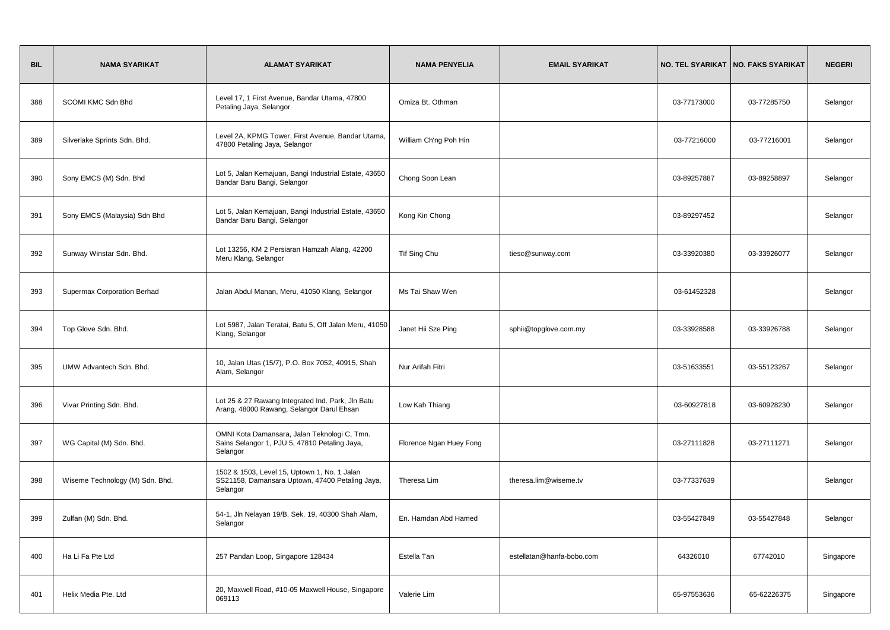| <b>BIL</b> | <b>NAMA SYARIKAT</b>            | <b>ALAMAT SYARIKAT</b>                                                                                      | <b>NAMA PENYELIA</b>    | <b>EMAIL SYARIKAT</b>     |             | NO. TEL SYARIKAT   NO. FAKS SYARIKAT | <b>NEGERI</b> |
|------------|---------------------------------|-------------------------------------------------------------------------------------------------------------|-------------------------|---------------------------|-------------|--------------------------------------|---------------|
| 388        | <b>SCOMI KMC Sdn Bhd</b>        | Level 17, 1 First Avenue, Bandar Utama, 47800<br>Petaling Jaya, Selangor                                    | Omiza Bt. Othman        |                           | 03-77173000 | 03-77285750                          | Selangor      |
| 389        | Silverlake Sprints Sdn. Bhd.    | Level 2A, KPMG Tower, First Avenue, Bandar Utama,<br>47800 Petaling Jaya, Selangor                          | William Ch'ng Poh Hin   |                           | 03-77216000 | 03-77216001                          | Selangor      |
| 390        | Sony EMCS (M) Sdn. Bhd          | Lot 5, Jalan Kemajuan, Bangi Industrial Estate, 43650<br>Bandar Baru Bangi, Selangor                        | Chong Soon Lean         |                           | 03-89257887 | 03-89258897                          | Selangor      |
| 391        | Sony EMCS (Malaysia) Sdn Bhd    | Lot 5, Jalan Kemajuan, Bangi Industrial Estate, 43650<br>Bandar Baru Bangi, Selangor                        | Kong Kin Chong          |                           | 03-89297452 |                                      | Selangor      |
| 392        | Sunway Winstar Sdn. Bhd.        | Lot 13256, KM 2 Persiaran Hamzah Alang, 42200<br>Meru Klang, Selangor                                       | Tif Sing Chu            | tiesc@sunway.com          | 03-33920380 | 03-33926077                          | Selangor      |
| 393        | Supermax Corporation Berhad     | Jalan Abdul Manan, Meru, 41050 Klang, Selangor                                                              | Ms Tai Shaw Wen         |                           | 03-61452328 |                                      | Selangor      |
| 394        | Top Glove Sdn. Bhd.             | Lot 5987, Jalan Teratai, Batu 5, Off Jalan Meru, 41050<br>Klang, Selangor                                   | Janet Hii Sze Ping      | sphii@topglove.com.my     | 03-33928588 | 03-33926788                          | Selangor      |
| 395        | UMW Advantech Sdn. Bhd.         | 10, Jalan Utas (15/7), P.O. Box 7052, 40915, Shah<br>Alam, Selangor                                         | Nur Arifah Fitri        |                           | 03-51633551 | 03-55123267                          | Selangor      |
| 396        | Vivar Printing Sdn. Bhd.        | Lot 25 & 27 Rawang Integrated Ind. Park, Jln Batu<br>Arang, 48000 Rawang, Selangor Darul Ehsan              | Low Kah Thiang          |                           | 03-60927818 | 03-60928230                          | Selangor      |
| 397        | WG Capital (M) Sdn. Bhd.        | OMNI Kota Damansara, Jalan Teknologi C, Tmn.<br>Sains Selangor 1, PJU 5, 47810 Petaling Jaya,<br>Selangor   | Florence Ngan Huey Fong |                           | 03-27111828 | 03-27111271                          | Selangor      |
| 398        | Wiseme Technology (M) Sdn. Bhd. | 1502 & 1503, Level 15, Uptown 1, No. 1 Jalan<br>SS21158, Damansara Uptown, 47400 Petaling Jaya,<br>Selangor | Theresa Lim             | theresa.lim@wiseme.tv     | 03-77337639 |                                      | Selangor      |
| 399        | Zulfan (M) Sdn. Bhd.            | 54-1, Jln Nelayan 19/B, Sek. 19, 40300 Shah Alam,<br>Selangor                                               | En. Hamdan Abd Hamed    |                           | 03-55427849 | 03-55427848                          | Selangor      |
| 400        | Ha Li Fa Pte Ltd                | 257 Pandan Loop, Singapore 128434                                                                           | Estella Tan             | estellatan@hanfa-bobo.com | 64326010    | 67742010                             | Singapore     |
| 401        | Helix Media Pte. Ltd            | 20, Maxwell Road, #10-05 Maxwell House, Singapore<br>069113                                                 | Valerie Lim             |                           | 65-97553636 | 65-62226375                          | Singapore     |